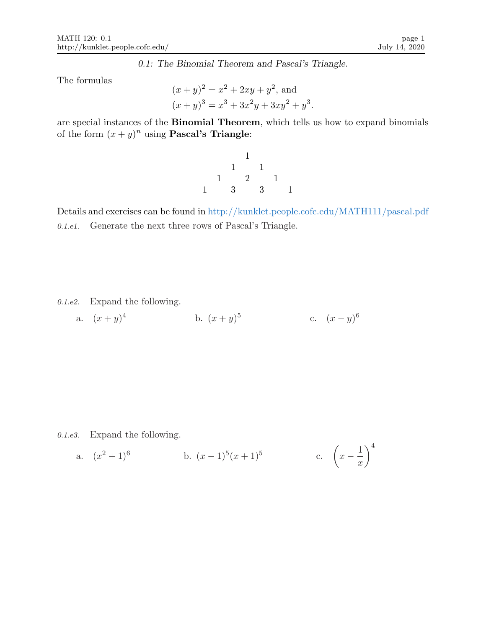0.1: The Binomial Theorem and Pascal's Triangle.

The formulas

$$
(x + y)^2 = x^2 + 2xy + y^2
$$
, and  
\n $(x + y)^3 = x^3 + 3x^2y + 3xy^2 + y^3$ .

are special instances of the Binomial Theorem, which tells us how to expand binomials of the form  $(x+y)^n$  using **Pascal's Triangle:** 

1 1 1 1 2 1 1 3 3 1

Details and exercises can be found in http://kunklet.people.cofc.edu/MATH111/pascal.pdf 0.1.e1. Generate the next three rows of Pascal's Triangle.

0.1.e2. Expand the following.

a. 
$$
(x+y)^4
$$
 b.  $(x+y)^5$  c.  $(x-y)^6$ 

0.1.e3. Expand the following.

a. 
$$
(x^2+1)^6
$$
 b.  $(x-1)^5(x+1)^5$  c.  $\left(x-\frac{1}{x}\right)^4$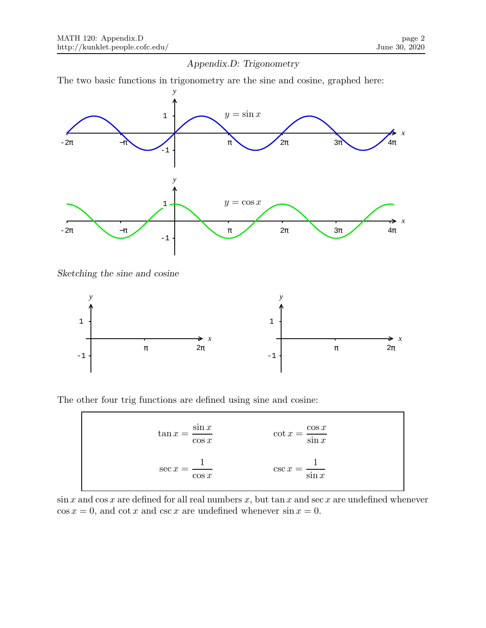# Appendix.D: Trigonometry

The two basic functions in trigonometry are the sine and cosine, graphed here:



Sketching the sine and cosine

 $\overline{\Gamma}$ 



The other four trig functions are defined using sine and cosine:

| $\tan x = \frac{\sin x}{x}$<br>$\cos x$ | $\cot x = \frac{\cos x}{\sin x}$ |
|-----------------------------------------|----------------------------------|
| $\sec x =$<br>$\cos x$                  | $\csc x = \frac{1}{\sin x}$      |

 $\sin x$  and  $\cos x$  are defined for all real numbers x, but  $\tan x$  and  $\sec x$  are undefined whenever  $\cos x = 0$ , and  $\cot x$  and  $\csc x$  are undefined whenever  $\sin x = 0$ .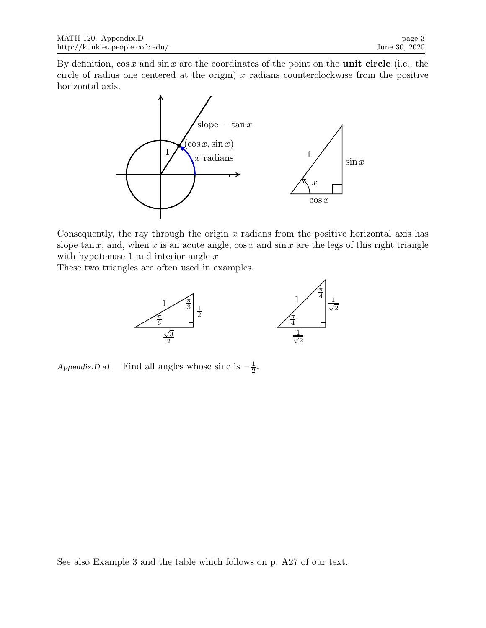By definition,  $\cos x$  and  $\sin x$  are the coordinates of the point on the **unit circle** (i.e., the circle of radius one centered at the origin)  $x$  radians counterclockwise from the positive horizontal axis.



Consequently, the ray through the origin  $x$  radians from the positive horizontal axis has slope tan x, and, when x is an acute angle,  $\cos x$  and  $\sin x$  are the legs of this right triangle with hypotenuse 1 and interior angle  $x$ 

These two triangles are often used in examples.



Appendix.D.e1. Find all angles whose sine is  $-\frac{1}{2}$  $\frac{1}{2}$ .

See also Example 3 and the table which follows on p. A27 of our text.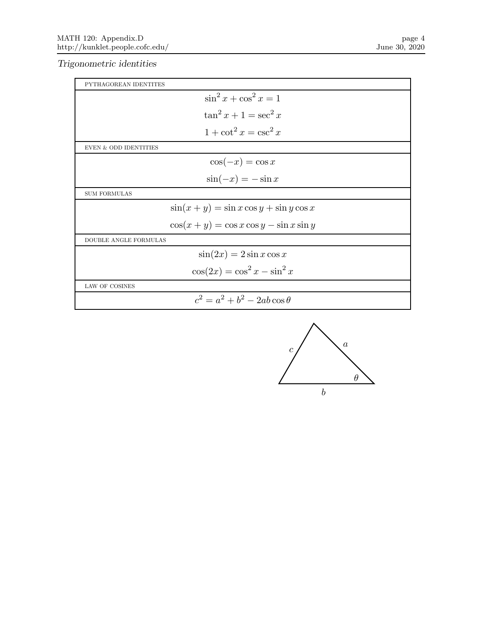Trigonometric identities

| PYTHAGOREAN IDENTITES                       |
|---------------------------------------------|
| $\sin^2 x + \cos^2 x = 1$                   |
| $\tan^2 x + 1 = \sec^2 x$                   |
| $1 + \cot^2 x = \csc^2 x$                   |
| <b>EVEN &amp; ODD IDENTITIES</b>            |
| $\cos(-x) = \cos x$                         |
| $\sin(-x) = -\sin x$                        |
| <b>SUM FORMULAS</b>                         |
| $\sin(x+y) = \sin x \cos y + \sin y \cos x$ |
| $\cos(x+y) = \cos x \cos y - \sin x \sin y$ |
| <b>DOUBLE ANGLE FORMULAS</b>                |
| $\sin(2x) = 2\sin x \cos x$                 |
| $\cos(2x) = \cos^2 x - \sin^2 x$            |
| LAW OF COSINES                              |
| $c^2 = a^2 + b^2 - 2ab\cos\theta$           |

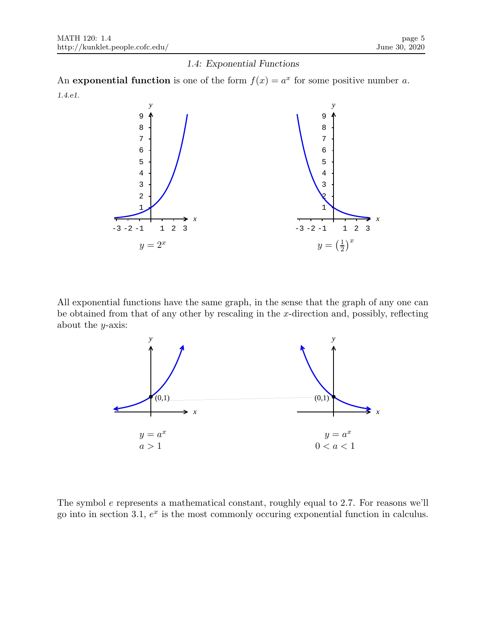#### 1.4: Exponential Functions

An **exponential function** is one of the form  $f(x) = a^x$  for some positive number a. 1.4.e1.



All exponential functions have the same graph, in the sense that the graph of any one can be obtained from that of any other by rescaling in the  $x$ -direction and, possibly, reflecting about the  $y$ -axis:



The symbol e represents a mathematical constant, roughly equal to 2.7. For reasons we'll go into in section 3.1,  $e^x$  is the most commonly occuring exponential function in calculus.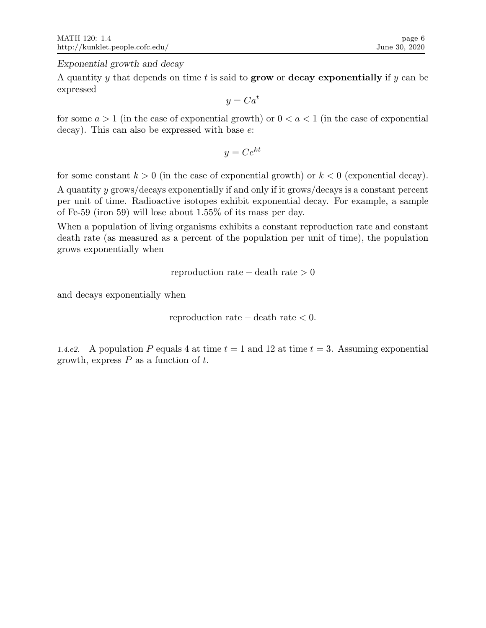Exponential growth and decay

A quantity y that depends on time t is said to grow or decay exponentially if y can be expressed

 $y = Ca^t$ 

for some  $a > 1$  (in the case of exponential growth) or  $0 < a < 1$  (in the case of exponential decay). This can also be expressed with base e:

$$
y = Ce^{kt}
$$

for some constant  $k > 0$  (in the case of exponential growth) or  $k < 0$  (exponential decay).

A quantity y grows/decays exponentially if and only if it grows/decays is a constant percent per unit of time. Radioactive isotopes exhibit exponential decay. For example, a sample of Fe-59 (iron 59) will lose about 1.55% of its mass per day.

When a population of living organisms exhibits a constant reproduction rate and constant death rate (as measured as a percent of the population per unit of time), the population grows exponentially when

reproduction rate − death rate > 0

and decays exponentially when

```
reproduction rate -\ death rate < 0.
```
1.4.e2. A population P equals 4 at time  $t = 1$  and 12 at time  $t = 3$ . Assuming exponential growth, express  $P$  as a function of  $t$ .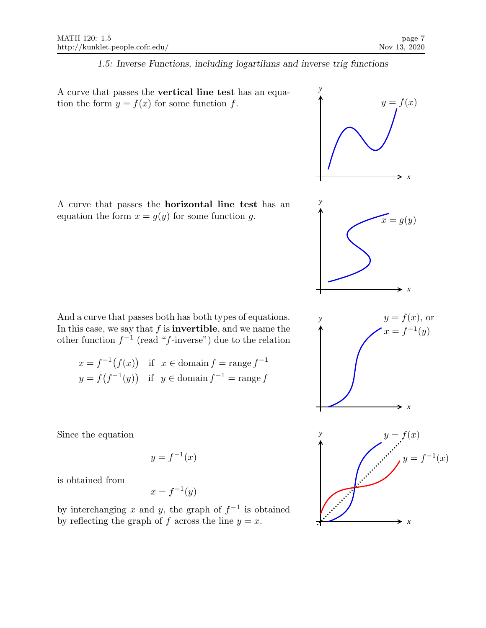#### 1.5: Inverse Functions, including logartihms and inverse trig functions

A curve that passes the vertical line test has an equation the form  $y = f(x)$  for some function f.  $y = f(x)$ 

A curve that passes the horizontal line test has an equation the form  $x = g(y)$  for some function g.  $x = g(y)$ 

And a curve that passes both has both types of equations. In this case, we say that  $f$  is **invertible**, and we name the other function  $f^{-1}$  (read "f-inverse") due to the relation

$$
x = f^{-1}(f(x)) \text{ if } x \in \text{domain } f = \text{range } f^{-1}
$$
  

$$
y = f(f^{-1}(y)) \text{ if } y \in \text{domain } f^{-1} = \text{range } f
$$

Since the equation

$$
y = f^{-1}(x)
$$

is obtained from

$$
x = f^{-1}(y)
$$

by interchanging x and y, the graph of  $f^{-1}$  is obtained by reflecting the graph of f across the line  $y = x$ .

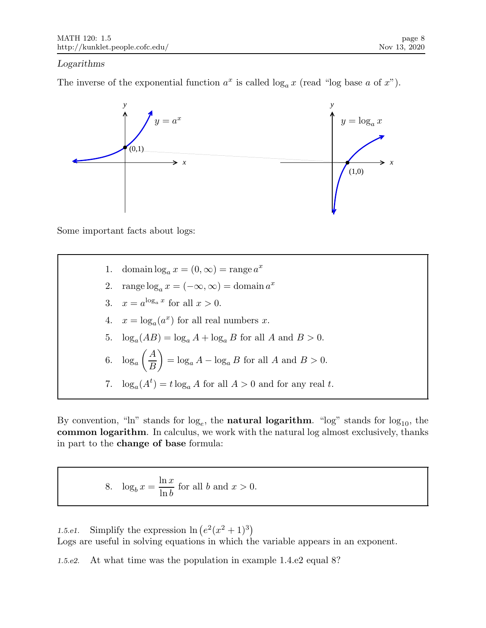# Logarithms

The inverse of the exponential function  $a^x$  is called  $\log_a x$  (read "log base a of x").



Some important facts about logs:

1. domain  $\log_a x = (0, \infty) = \text{range } a^x$ 2. range  $\log_a x = (-\infty, \infty) = \text{domain } a^x$ 3.  $x = a^{\log_a x}$  for all  $x > 0$ . 4.  $x = \log_a(a^x)$  for all real numbers x. 5.  $\log_a(AB) = \log_a A + \log_a B$  for all A and  $B > 0$ . 6.  $\log_a \left(\frac{A}{B}\right)$ B  $\Big) = \log_a A - \log_a B$  for all A and  $B > 0$ . 7.  $\log_a(A^t) = t \log_a A$  for all  $A > 0$  and for any real t.

By convention, "ln" stands for  $log_e$ , the **natural logarithm**. "log" stands for  $log_{10}$ , the common logarithm. In calculus, we work with the natural log almost exclusively, thanks in part to the change of base formula:

8. 
$$
\log_b x = \frac{\ln x}{\ln b}
$$
 for all b and  $x > 0$ .

1.5.e1. Simplify the expression  $\ln(e^2(x^2+1)^3)$ Logs are useful in solving equations in which the variable appears in an exponent.

1.5.e2. At what time was the population in example 1.4.e2 equal 8?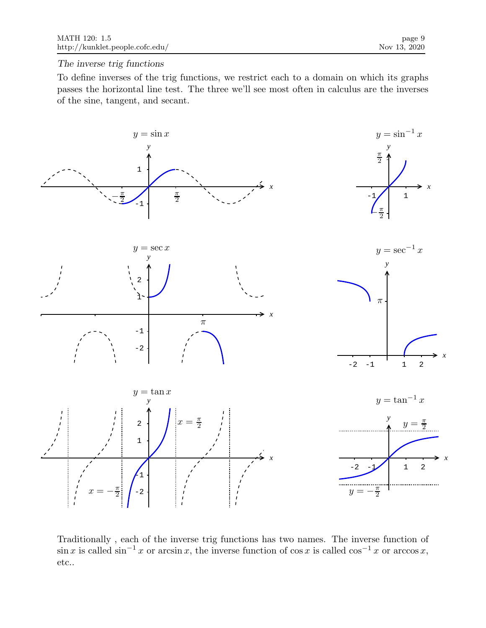## The inverse trig functions

To define inverses of the trig functions, we restrict each to a domain on which its graphs passes the horizontal line test. The three we'll see most often in calculus are the inverses of the sine, tangent, and secant.



Traditionally , each of the inverse trig functions has two names. The inverse function of  $\sin x$  is called  $\sin^{-1} x$  or arcsin x, the inverse function of cos x is called cos<sup>-1</sup> x or arccos x, etc..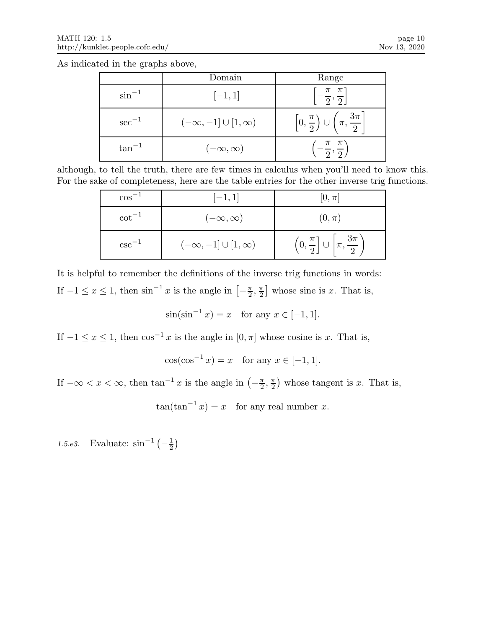As indicated in the graphs above,

|             | Domain                         | Range                                                              |
|-------------|--------------------------------|--------------------------------------------------------------------|
| $\sin^{-1}$ | $[-1, 1]$                      | $\left[-\frac{\pi}{2},\frac{\pi}{2}\right]$                        |
| $\sec^{-1}$ | $(-\infty,-1] \cup [1,\infty)$ | $\left[0,\frac{\pi}{2}\right)\cup\left(\pi,\frac{3\pi}{2}\right).$ |
| $tan^{-1}$  | $(-\infty,\infty)$             | $-\frac{\pi}{2},\frac{\pi}{2}$                                     |

although, to tell the truth, there are few times in calculus when you'll need to know this. For the sake of completeness, here are the table entries for the other inverse trig functions.

| $\cos^{-1}$ | $[-1, 1]$                        | $[0,\pi]$                                                         |
|-------------|----------------------------------|-------------------------------------------------------------------|
| $\cot^{-1}$ | $(-\infty,\infty)$               | $(0,\pi)$                                                         |
| $csc^{-1}$  | $(-\infty, -1] \cup [1, \infty)$ | $\left(0,\frac{\pi}{2}\right]\cup\left[\pi,\frac{3\pi}{2}\right]$ |

It is helpful to remember the definitions of the inverse trig functions in words: If  $-1 \le x \le 1$ , then  $\sin^{-1} x$  is the angle in  $\left[-\frac{\pi}{2}\right]$  $\frac{\pi}{2}, \frac{\pi}{2}$  $\frac{\pi}{2}$  whose sine is x. That is,

$$
\sin(\sin^{-1} x) = x
$$
 for any  $x \in [-1, 1]$ .

If  $-1 \le x \le 1$ , then  $\cos^{-1} x$  is the angle in  $[0, \pi]$  whose cosine is x. That is,

$$
\cos(\cos^{-1} x) = x \quad \text{for any } x \in [-1, 1].
$$

If  $-\infty < x < \infty$ , then  $\tan^{-1} x$  is the angle in  $\left(-\frac{\pi}{2}\right)$  $\frac{\pi}{2}, \frac{\pi}{2}$  $\frac{\pi}{2}$ ) whose tangent is x. That is,

 $\tan(\tan^{-1} x) = x$  for any real number x.

1.5.e3. Evaluate:  $\sin^{-1}\left(-\frac{1}{2}\right)$  $\frac{1}{2}$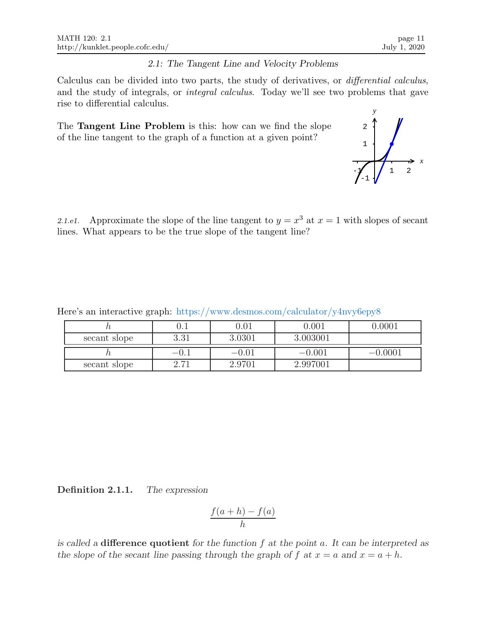## 2.1: The Tangent Line and Velocity Problems

Calculus can be divided into two parts, the study of derivatives, or differential calculus, and the study of integrals, or integral calculus. Today we'll see two problems that gave rise to differential calculus.

The Tangent Line Problem is this: how can we find the slope of the line tangent to the graph of a function at a given point?

2.1.e1. Approximate the slope of the line tangent to  $y = x^3$  at  $x = 1$  with slopes of secant lines. What appears to be the true slope of the tangent line?

Here's an interactive graph: https://www.desmos.com/calculator/y4nvy6epy8

|              | v.i         | $0.01\,$ | 0.001    | 0.0001    |
|--------------|-------------|----------|----------|-----------|
| secant slope | 291<br>0.0T | 3.0301   | 3.003001 |           |
|              | $-U.$       | $-0.01$  | $-0.001$ | $-0.0001$ |
| secant slope | $-1$        | 2.9701   | 2.997001 |           |

Definition 2.1.1. The expression

$$
\frac{f(a+h)-f(a)}{h}
$$

is called a difference quotient for the function  $f$  at the point  $a$ . It can be interpreted as the slope of the secant line passing through the graph of f at  $x = a$  and  $x = a + h$ .

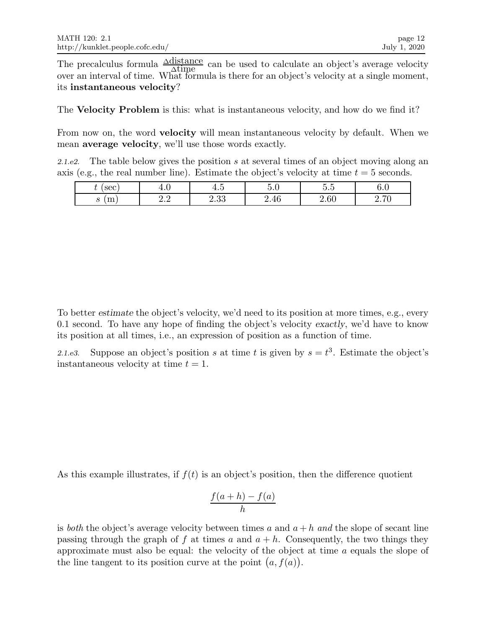The precalculus formula  $\frac{\Delta \text{distance}}{\Delta t_{\text{imp}}}\$  can be used to calculate an object's average velocity  $\frac{\text{distance}}{\Delta \text{time}}$  can be used to calculate an object's average velocity over an interval of time. What formula is there for an object's velocity at a single moment, its instantaneous velocity?

The Velocity Problem is this: what is instantaneous velocity, and how do we find it?

From now on, the word velocity will mean instantaneous velocity by default. When we mean average velocity, we'll use those words exactly.

2.1.e2. The table below gives the position s at several times of an object moving along an axis (e.g., the real number line). Estimate the object's velocity at time  $t = 5$  seconds.

| sec<br>U          | $\sim$<br>4.U                   | $\tilde{\phantom{a}}$<br>+ւ. | $\tilde{\phantom{a}}$<br>U.G | $\tilde{\phantom{a}}$<br>$\overline{\phantom{0}}$<br>h<br>⊍.⊍ | $\sim$<br>v.v                   |
|-------------------|---------------------------------|------------------------------|------------------------------|---------------------------------------------------------------|---------------------------------|
| $\sim$<br>ПT<br>ಲ | റ റ<br>$\overline{\phantom{a}}$ | ററ<br>2.00                   | 2.46                         | 2.60                                                          | $\Omega$ $\Box$<br>$4 \cdot 10$ |

To better estimate the object's velocity, we'd need to its position at more times, e.g., every 0.1 second. To have any hope of finding the object's velocity exactly, we'd have to know its position at all times, i.e., an expression of position as a function of time.

2.1.e3. Suppose an object's position s at time t is given by  $s = t^3$ . Estimate the object's instantaneous velocity at time  $t = 1$ .

As this example illustrates, if  $f(t)$  is an object's position, then the difference quotient

$$
\frac{f(a+h) - f(a)}{h}
$$

is both the object's average velocity between times a and  $a + h$  and the slope of secant line passing through the graph of f at times a and  $a + h$ . Consequently, the two things they approximate must also be equal: the velocity of the object at time a equals the slope of the line tangent to its position curve at the point  $(a, f(a))$ .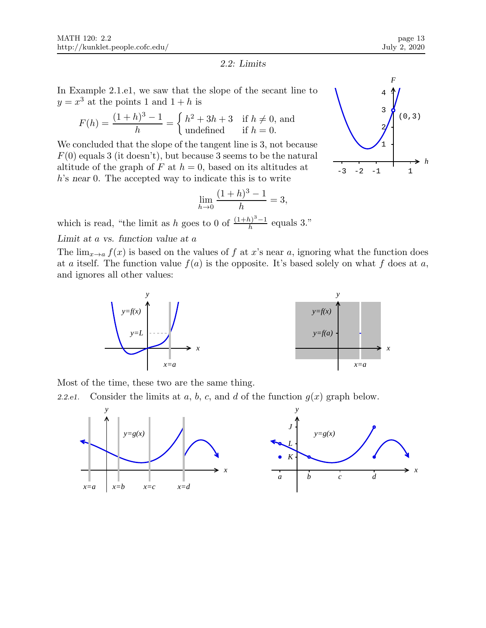*F*

#### 2.2: Limits

In Example 2.1.e1, we saw that the slope of the secant line to  $y = x^3$  at the points 1 and  $1 + h$  is

$$
F(h) = \frac{(1+h)^3 - 1}{h} = \begin{cases} h^2 + 3h + 3 & \text{if } h \neq 0, \text{ and} \\ \text{undefined} & \text{if } h = 0. \end{cases}
$$

We concluded that the slope of the tangent line is 3, not because  $F(0)$  equals 3 (it doesn't), but because 3 seems to be the natural altitude of the graph of F at  $h = 0$ , based on its altitudes at h's near 0. The accepted way to indicate this is to write

$$
\lim_{h \to 0} \frac{(1+h)^3 - 1}{h} = 3,
$$

which is read, "the limit as h goes to 0 of  $\frac{(1+h)^3-1}{h}$  equals 3."



#### Limit at a vs. function value at a

The  $\lim_{x\to a} f(x)$  is based on the values of f at x's near a, ignoring what the function does at a itself. The function value  $f(a)$  is the opposite. It's based solely on what f does at a, and ignores all other values:





Most of the time, these two are the same thing.

2.2.e1. Consider the limits at a, b, c, and d of the function  $g(x)$  graph below.

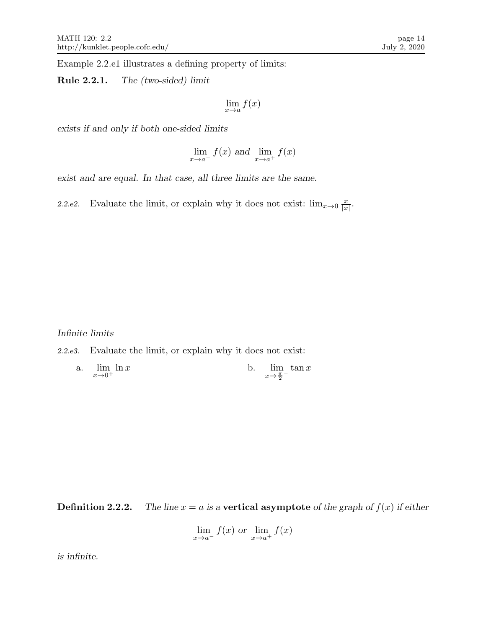Example 2.2.e1 illustrates a defining property of limits:

Rule 2.2.1. The (two-sided) limit

$$
\lim_{x \to a} f(x)
$$

exists if and only if both one-sided limits

$$
\lim_{x \to a^{-}} f(x) \text{ and } \lim_{x \to a^{+}} f(x)
$$

exist and are equal. In that case, all three limits are the same.

2.2.e2. Evaluate the limit, or explain why it does not exist:  $\lim_{x\to 0} \frac{x}{|x|}$  $\frac{x}{|x|}$ .

Infinite limits

2.2.e3. Evaluate the limit, or explain why it does not exist:

| a. $\lim_{x \to 0} \ln x$ | b. $\lim_{x \to a} \tan x$    |  |
|---------------------------|-------------------------------|--|
| $x\rightarrow 0^+$        | $x \rightarrow \frac{\pi}{2}$ |  |

**Definition 2.2.2.** The line  $x = a$  is a vertical asymptote of the graph of  $f(x)$  if either

$$
\lim_{x \to a^{-}} f(x) \text{ or } \lim_{x \to a^{+}} f(x)
$$

is infinite.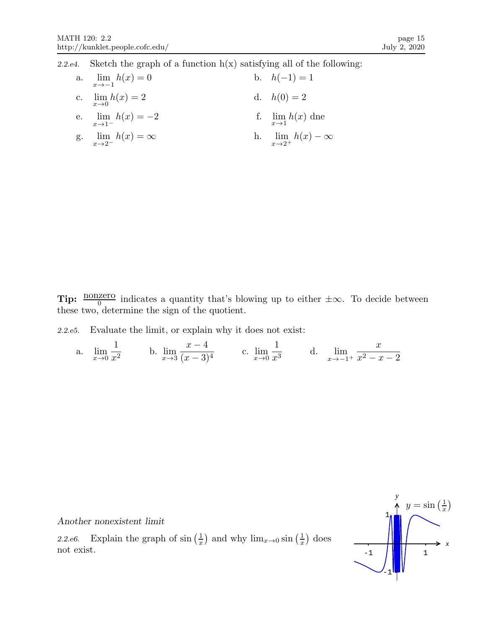2.2.e4. Sketch the graph of a function  $h(x)$  satisfying all of the following:

| a. $\lim_{x \to -1} h(x) = 0$         | b. $h(-1) = 1$                     |
|---------------------------------------|------------------------------------|
| c. $\lim_{x \to 0} h(x) = 2$          | d. $h(0) = 2$                      |
| e. $\lim_{x \to 1^{-}} h(x) = -2$     | f. $\lim_{x\to 1} h(x)$ dne        |
| g. $\lim_{x \to 2^{-}} h(x) = \infty$ | h. $\lim_{x\to 2^+} h(x) - \infty$ |

**Tip:**  $\frac{\text{nonzero}}{0}$  indicates a quantity that's blowing up to either  $\pm \infty$ . To decide between these two, determine the sign of the quotient.

2.2.e5. Evaluate the limit, or explain why it does not exist:

a.  $\lim_{x\to 0}$ 1  $\frac{1}{x^2}$  b.  $\lim_{x\to 3}$  $x - 4$  $\frac{x}{(x-3)^4}$  c.  $\lim_{x\to 0}$ 1  $\frac{1}{x^3}$  d.  $\lim_{x \to -1}$  $x \rightarrow -1^+$  $\boldsymbol{x}$  $x^2 - x - 2$ 



Another nonexistent limit

2.2.e6. Explain the graph of  $\sin\left(\frac{1}{x}\right)$  $\frac{1}{x}$ ) and why  $\lim_{x\to 0} \sin\left(\frac{1}{x}\right)$  $(\frac{1}{x})$  does not exist.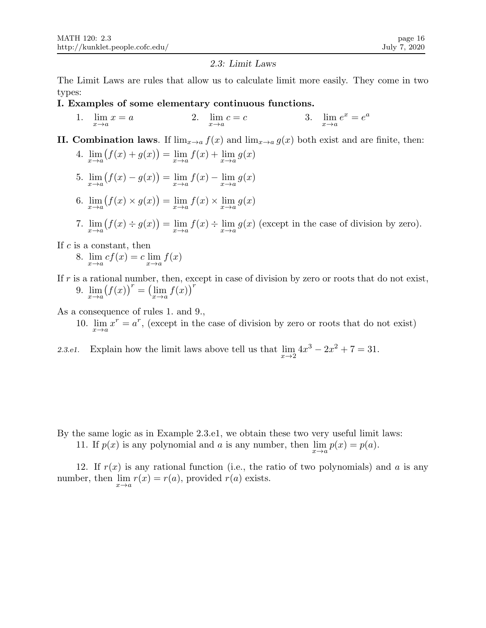#### 2.3: Limit Laws

The Limit Laws are rules that allow us to calculate limit more easily. They come in two types:

- I. Examples of some elementary continuous functions.
	- 1.  $\lim_{x \to a} x = a$ 2.  $\lim_{x \to a} c = c$  $c = c$  3.  $\lim_{x \to a} e^x = e^a$
- II. Combination laws. If  $\lim_{x\to a} f(x)$  and  $\lim_{x\to a} g(x)$  both exist and are finite, then:
	- 4.  $\lim_{x \to a} (f(x) + g(x)) = \lim_{x \to a} f(x) + \lim_{x \to a} g(x)$
	- 5.  $\lim_{x \to a} (f(x) g(x)) = \lim_{x \to a} f(x) \lim_{x \to a} g(x)$
	- 6.  $\lim_{x \to a} (f(x) \times g(x)) = \lim_{x \to a} f(x) \times \lim_{x \to a} g(x)$
	- 7.  $\lim_{x\to a} (f(x) \div g(x)) = \lim_{x\to a} f(x) \div \lim_{x\to a} g(x)$  (except in the case of division by zero).

If  $c$  is a constant, then

- 8.  $\lim_{x \to a} cf(x) = c \lim_{x \to a} f(x)$
- If  $r$  is a rational number, then, except in case of division by zero or roots that do not exist, 9.  $\lim_{x \to a} (f(x))^r = (\lim_{x \to a} f(x))^r$

As a consequence of rules 1. and 9.,

10.  $\lim_{x \to a} x^r = a^r$ , (except in the case of division by zero or roots that do not exist)

2.3.e1. Explain how the limit laws above tell us that  $\lim_{x\to 2} 4x^3 - 2x^2 + 7 = 31$ .

- By the same logic as in Example 2.3.e1, we obtain these two very useful limit laws:
	- 11. If  $p(x)$  is any polynomial and a is any number, then  $\lim_{x \to a} p(x) = p(a)$ .

12. If  $r(x)$  is any rational function (i.e., the ratio of two polynomials) and a is any number, then  $\lim_{x \to a} r(x) = r(a)$ , provided  $r(a)$  exists.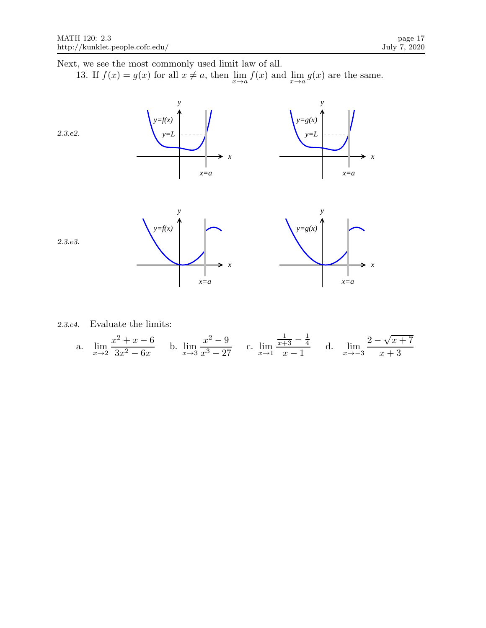Next, we see the most commonly used limit law of all.

13. If  $f(x) = g(x)$  for all  $x \neq a$ , then  $\lim_{x \to a} f(x)$  and  $\lim_{x \to a} g(x)$  are the same.



2.3.e4. Evaluate the limits:

a. 
$$
\lim_{x \to 2} \frac{x^2 + x - 6}{3x^2 - 6x}
$$
 b.  $\lim_{x \to 3} \frac{x^2 - 9}{x^3 - 27}$  c.  $\lim_{x \to 1} \frac{\frac{1}{x+3} - \frac{1}{4}}{x-1}$  d.  $\lim_{x \to -3} \frac{2 - \sqrt{x+7}}{x+3}$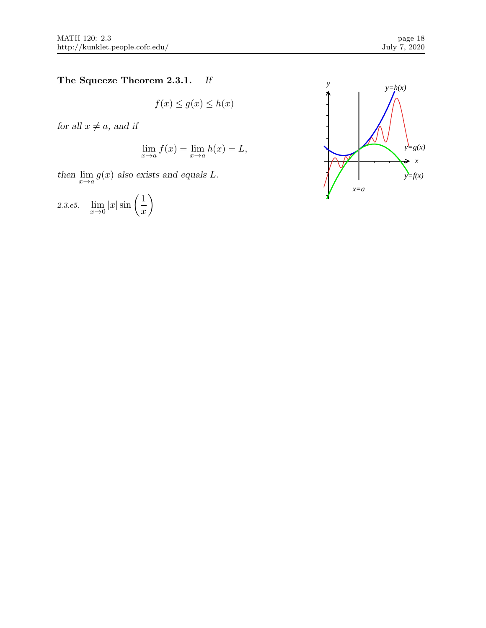# The Squeeze Theorem 2.3.1. If

 $f(x) \le g(x) \le h(x)$ 

for all  $x\neq a,$  and if

$$
\lim_{x \to a} f(x) = \lim_{x \to a} h(x) = L,
$$

then  $\lim_{x\to a} g(x)$  also exists and equals L.

2.3.e5. 
$$
\lim_{x \to 0} |x| \sin \left(\frac{1}{x}\right)
$$

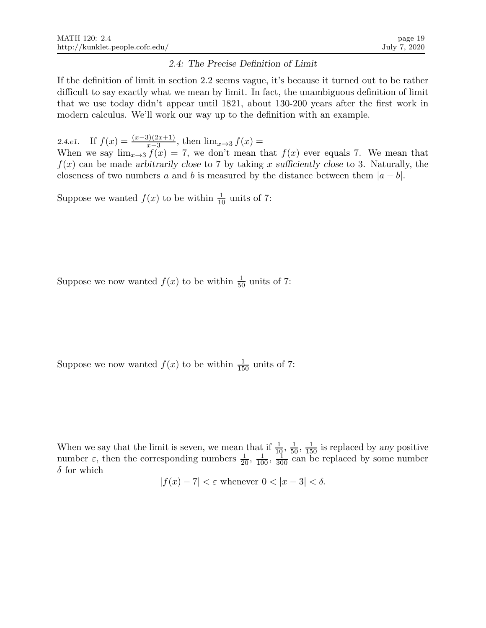### 2.4: The Precise Definition of Limit

If the definition of limit in section 2.2 seems vague, it's because it turned out to be rather difficult to say exactly what we mean by limit. In fact, the unambiguous definition of limit that we use today didn't appear until 1821, about 130-200 years after the first work in modern calculus. We'll work our way up to the definition with an example.

2.4.e1. If  $f(x) = \frac{(x-3)(2x+1)}{x-3}$ , then  $\lim_{x\to 3} f(x) =$ 

When we say  $\lim_{x\to 3} f(x) = 7$ , we don't mean that  $f(x)$  ever equals 7. We mean that  $f(x)$  can be made arbitrarily close to 7 by taking x sufficiently close to 3. Naturally, the closeness of two numbers a and b is measured by the distance between them  $|a - b|$ .

Suppose we wanted  $f(x)$  to be within  $\frac{1}{10}$  units of 7:

Suppose we now wanted  $f(x)$  to be within  $\frac{1}{50}$  units of 7:

Suppose we now wanted  $f(x)$  to be within  $\frac{1}{150}$  units of 7:

When we say that the limit is seven, we mean that if  $\frac{1}{10}$ ,  $\frac{1}{50}$ ,  $\frac{1}{150}$  is replaced by any positive number  $\varepsilon$ , then the corresponding numbers  $\frac{1}{20}$ ,  $\frac{1}{100}$ ,  $\frac{1}{300}$  can be replaced by some number  $\delta$  for which

$$
|f(x) - 7| < \varepsilon \text{ whenever } 0 < |x - 3| < \delta.
$$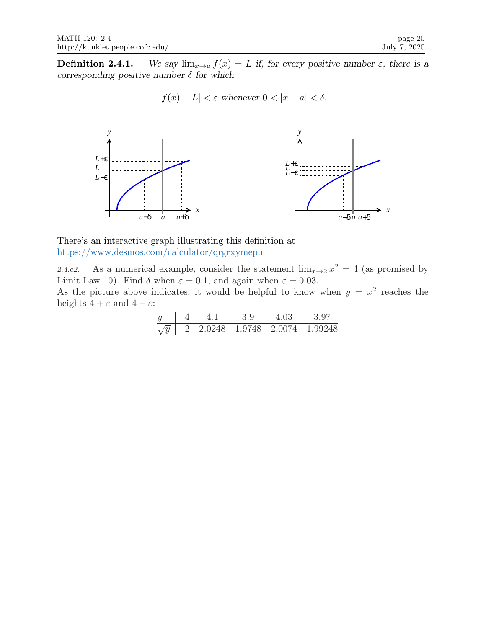**Definition 2.4.1.** We say  $\lim_{x\to a} f(x) = L$  if, for every positive number  $\varepsilon$ , there is a corresponding positive number  $\delta$  for which

$$
|f(x) - L| < \varepsilon \text{ whenever } 0 < |x - a| < \delta.
$$



There's an interactive graph illustrating this definition at https://www.desmos.com/calculator/qrgrxymepu

2.4.e2. As a numerical example, consider the statement  $\lim_{x\to 2} x^2 = 4$  (as promised by Limit Law 10). Find  $\delta$  when  $\varepsilon = 0.1$ , and again when  $\varepsilon = 0.03$ .

As the picture above indicates, it would be helpful to know when  $y = x^2$  reaches the heights  $4 + \varepsilon$  and  $4 - \varepsilon$ :

|            |  | -3.9 |                              | 397 |
|------------|--|------|------------------------------|-----|
| $\sqrt{y}$ |  |      | 2.0248 1.9748 2.0074 1.99248 |     |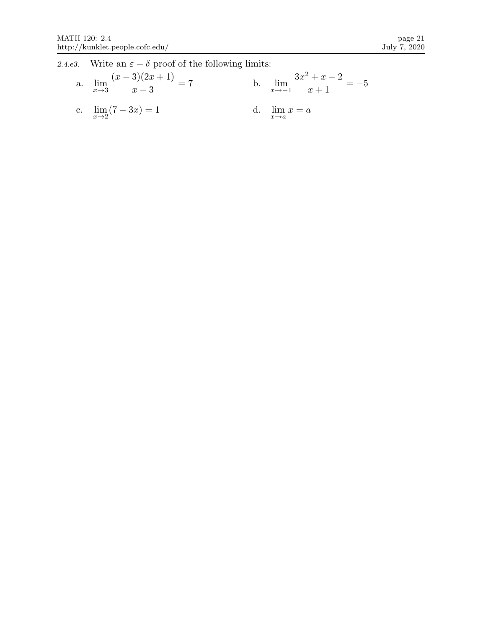2.4.e3. Write an  $\varepsilon - \delta$  proof of the following limits:

a. 
$$
\lim_{x \to 3} \frac{(x-3)(2x+1)}{x-3} = 7
$$
  
b.  $\lim_{x \to -1} \frac{3x^2 + x - 2}{x+1} = -5$   
c.  $\lim_{x \to 2} (7-3x) = 1$   
d.  $\lim_{x \to a} x = a$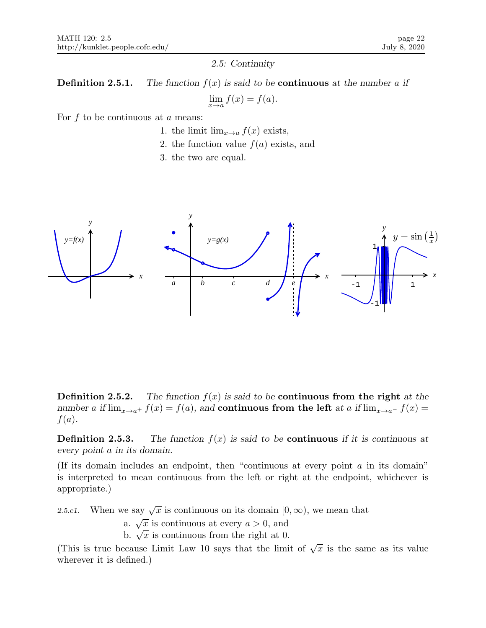#### 2.5: Continuity

**Definition 2.5.1.** The function  $f(x)$  is said to be **continuous** at the number a if  $\lim_{x \to a} f(x) = f(a).$ 

For  $f$  to be continuous at  $a$  means:

- 1. the limit  $\lim_{x\to a} f(x)$  exists,
- 2. the function value  $f(a)$  exists, and
- 3. the two are equal.



**Definition 2.5.2.** The function  $f(x)$  is said to be **continuous from the right** at the number a if  $\lim_{x\to a^+} f(x) = f(a)$ , and continuous from the left at a if  $\lim_{x\to a^-} f(x) =$  $f(a)$ .

**Definition 2.5.3.** The function  $f(x)$  is said to be **continuous** if it is continuous at every point a in its domain.

(If its domain includes an endpoint, then "continuous at every point  $\alpha$  in its domain" is interpreted to mean continuous from the left or right at the endpoint, whichever is appropriate.)

2.5.e1. When we say  $\sqrt{x}$  is continuous on its domain  $[0, \infty)$ , we mean that

a.  $\sqrt{x}$  is continuous at every  $a > 0$ , and

b.  $\sqrt{x}$  is continuous from the right at 0.

(This is true because Limit Law 10 says that the limit of  $\sqrt{x}$  is the same as its value wherever it is defined.)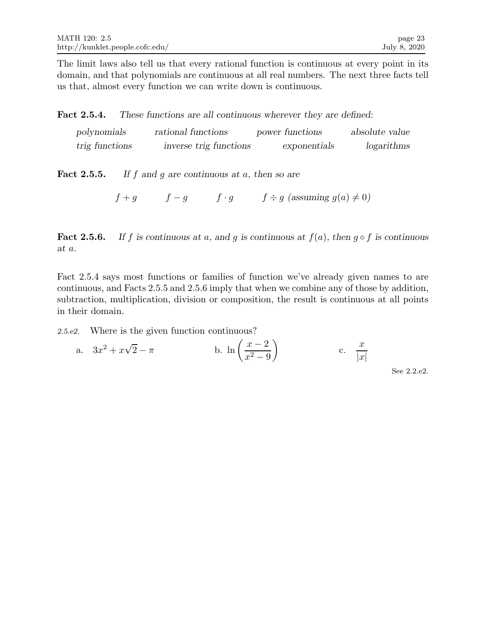The limit laws also tell us that every rational function is continuous at every point in its domain, and that polynomials are continuous at all real numbers. The next three facts tell us that, almost every function we can write down is continuous.

Fact 2.5.4. These functions are all continuous wherever they are defined:

| polynomials    | rational functions     | power functions | absolute value |
|----------------|------------------------|-----------------|----------------|
| trig functions | inverse trig functions | exponentials    | logarithms     |

**Fact 2.5.5.** If f and g are continuous at a, then so are

 $f + g$  f - g f · g f ÷ g (assuming  $g(a) \neq 0$ )

**Fact 2.5.6.** If f is continuous at a, and g is continuous at  $f(a)$ , then  $g \circ f$  is continuous at a.

Fact 2.5.4 says most functions or families of function we've already given names to are continuous, and Facts 2.5.5 and 2.5.6 imply that when we combine any of those by addition, subtraction, multiplication, division or composition, the result is continuous at all points in their domain.

2.5.e2. Where is the given function continuous?

a. 
$$
3x^2 + x\sqrt{2} - \pi
$$
 b.  $\ln\left(\frac{x-2}{x^2-9}\right)$  c.  $\frac{x}{|x|}$ 

See 2.2.e2.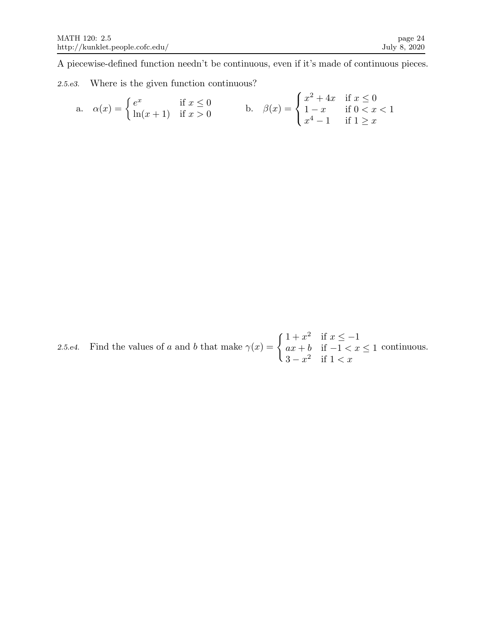A piecewise-defined function needn't be continuous, even if it's made of continuous pieces.

2.5.e3. Where is the given function continuous?

a. 
$$
\alpha(x) = \begin{cases} e^x & \text{if } x \le 0 \\ \ln(x+1) & \text{if } x > 0 \end{cases}
$$
 b.  $\beta(x) = \begin{cases} x^2 + 4x & \text{if } x \le 0 \\ 1 - x & \text{if } 0 < x < 1 \\ x^4 - 1 & \text{if } 1 \ge x \end{cases}$ 

2.5.e4. Find the values of a and b that make  $\gamma(x) = \begin{cases} 1 + x^2 & \text{if } x \leq -1 \\ ax + b & \text{if } -1 < x \end{cases}$  $ax + b$  if  $-1 < x \leq 1$  $3 - x^2$  if  $1 < x$ continuous.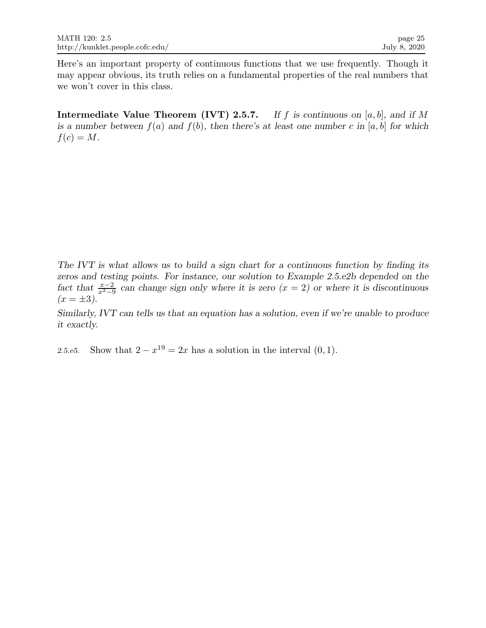Here's an important property of continuous functions that we use frequently. Though it may appear obvious, its truth relies on a fundamental properties of the real numbers that we won't cover in this class.

**Intermediate Value Theorem (IVT) 2.5.7.** If f is continuous on [a, b], and if M is a number between  $f(a)$  and  $f(b)$ , then there's at least one number c in [a, b] for which  $f(c) = M$ .

The IVT is what allows us to build a sign chart for a continuous function by finding its zeros and testing points. For instance, our solution to Example 2.5.e2b depended on the fact that  $\frac{x-2}{x^2-9}$  can change sign only where it is zero  $(x = 2)$  or where it is discontinuous  $(x = \pm 3).$ 

Similarly, IVT can tells us that an equation has a solution, even if we're unable to produce it exactly.

2.5.e5. Show that  $2 - x^{19} = 2x$  has a solution in the interval  $(0, 1)$ .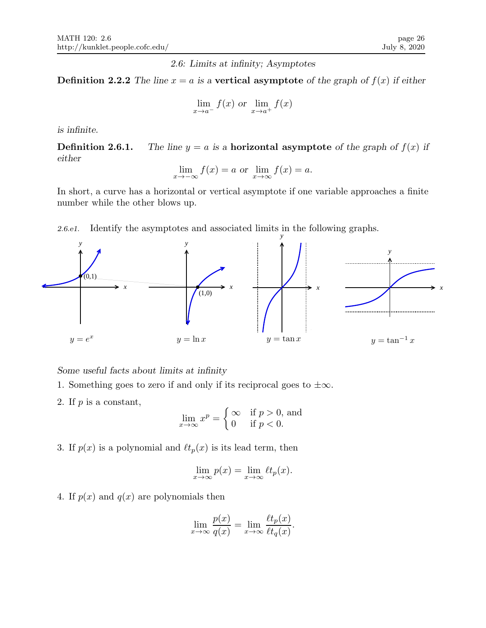2.6: Limits at infinity; Asymptotes

**Definition 2.2.2** The line  $x = a$  is a vertical asymptote of the graph of  $f(x)$  if either

$$
\lim_{x \to a^{-}} f(x) \text{ or } \lim_{x \to a^{+}} f(x)
$$

is infinite.

**Definition 2.6.1.** The line  $y = a$  is a **horizontal asymptote** of the graph of  $f(x)$  if either

$$
\lim_{x \to -\infty} f(x) = a
$$
 or 
$$
\lim_{x \to \infty} f(x) = a.
$$

In short, a curve has a horizontal or vertical asymptote if one variable approaches a finite number while the other blows up.

2.6.e1. Identify the asymptotes and associated limits in the following graphs.



## Some useful facts about limits at infinity

- 1. Something goes to zero if and only if its reciprocal goes to  $\pm \infty$ .
- 2. If  $p$  is a constant,

$$
\lim_{x \to \infty} x^p = \begin{cases} \infty & \text{if } p > 0, \text{ and} \\ 0 & \text{if } p < 0. \end{cases}
$$

3. If  $p(x)$  is a polynomial and  $\ell t_p(x)$  is its lead term, then

$$
\lim_{x \to \infty} p(x) = \lim_{x \to \infty} \ell t_p(x).
$$

4. If  $p(x)$  and  $q(x)$  are polynomials then

$$
\lim_{x \to \infty} \frac{p(x)}{q(x)} = \lim_{x \to \infty} \frac{\ell t_p(x)}{\ell t_q(x)}.
$$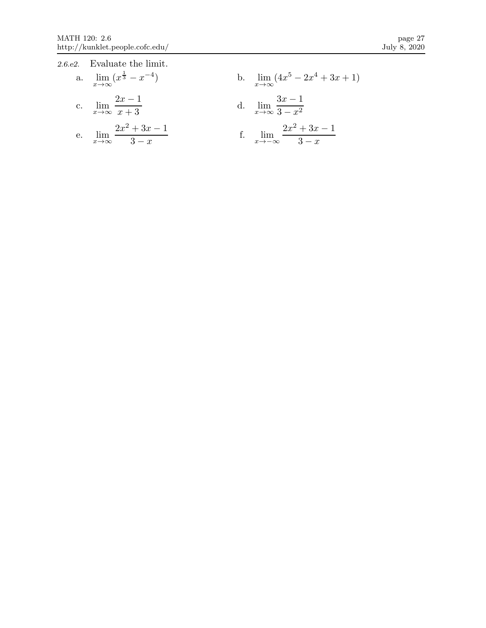| 2.6.e2. Evaluate the limit.                          |                                                       |
|------------------------------------------------------|-------------------------------------------------------|
| a. $\lim_{x \to \infty} (x^{\frac{1}{3}} - x^{-4})$  | b. $\lim_{x \to \infty} (4x^5 - 2x^4 + 3x + 1)$       |
| c. $\lim_{x \to \infty} \frac{2x-1}{x+3}$            | d. $\lim_{x \to \infty} \frac{3x-1}{3-x^2}$           |
| e. $\lim_{x \to \infty} \frac{2x^2 + 3x - 1}{3 - x}$ | f. $\lim_{x \to -\infty} \frac{2x^2 + 3x - 1}{3 - x}$ |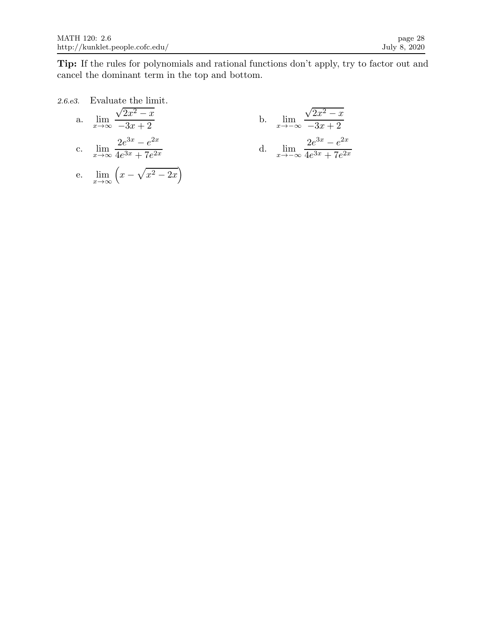Tip: If the rules for polynomials and rational functions don't apply, try to factor out and cancel the dominant term in the top and bottom.

2.6.e3. Evaluate the limit.  
\na. 
$$
\lim_{x \to \infty} \frac{\sqrt{2x^2 - x}}{-3x + 2}
$$
\nb. 
$$
\lim_{x \to -\infty} \frac{\sqrt{2x^2 - x}}{-3x + 2}
$$
\nc. 
$$
\lim_{x \to \infty} \frac{2e^{3x} - e^{2x}}{4e^{3x} + 7e^{2x}}
$$
\nd. 
$$
\lim_{x \to -\infty} \frac{2e^{3x} - e^{2x}}{4e^{3x} + 7e^{2x}}
$$
\ne. 
$$
\lim_{x \to \infty} (x - \sqrt{x^2 - 2x})
$$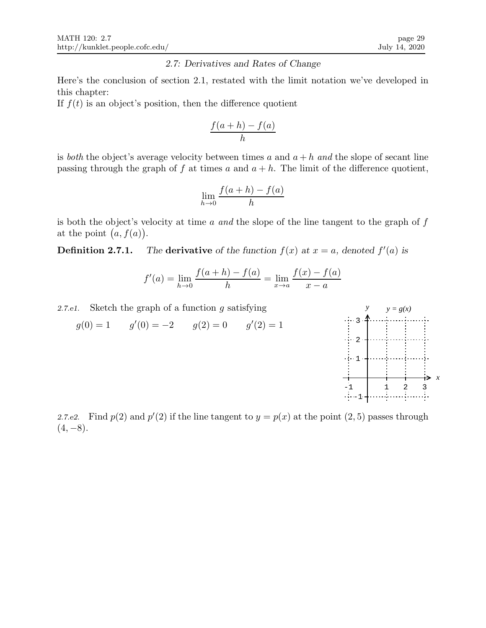### 2.7: Derivatives and Rates of Change

Here's the conclusion of section 2.1, restated with the limit notation we've developed in this chapter:

If  $f(t)$  is an object's position, then the difference quotient

$$
\frac{f(a+h) - f(a)}{h}
$$

is both the object's average velocity between times a and  $a + h$  and the slope of secant line passing through the graph of f at times a and  $a + h$ . The limit of the difference quotient,

$$
\lim_{h \to 0} \frac{f(a+h) - f(a)}{h}
$$

is both the object's velocity at time  $a$  and the slope of the line tangent to the graph of  $f$ at the point  $(a, f(a))$ .

**Definition 2.7.1.** The derivative of the function  $f(x)$  at  $x = a$ , denoted  $f'(a)$  is

$$
f'(a) = \lim_{h \to 0} \frac{f(a+h) - f(a)}{h} = \lim_{x \to a} \frac{f(x) - f(a)}{x - a}
$$

2.7.e1. Sketch the graph of a function  $g$  satisfying  $g(0) = 1$   $g'(0) = -2$   $g(2) = 0$   $g'(2) = 1$ *x y*  $-1$  1 2 3 -1 1 2 3 *y = g(x)*

2.7.e2. Find  $p(2)$  and  $p'(2)$  if the line tangent to  $y = p(x)$  at the point  $(2, 5)$  passes through  $(4, -8)$ .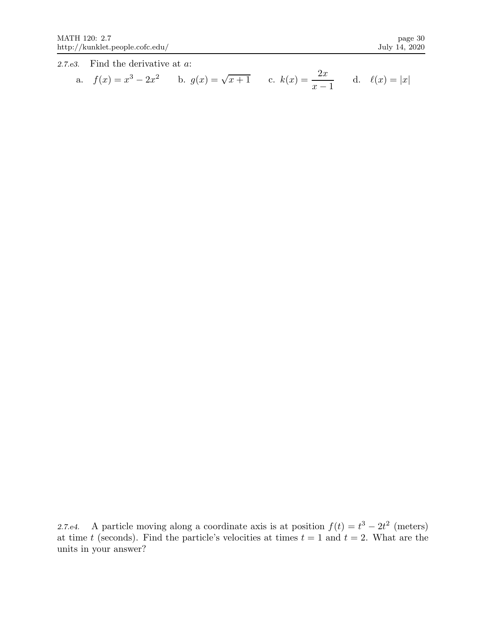2.7.e3. Find the derivative at a:

a. 
$$
f(x) = x^3 - 2x^2
$$
 b.  $g(x) = \sqrt{x+1}$  c.  $k(x) = \frac{2x}{x-1}$  d.  $\ell(x) = |x|$ 

2.7.e4. A particle moving along a coordinate axis is at position  $f(t) = t^3 - 2t^2$  (meters) at time t (seconds). Find the particle's velocities at times  $t = 1$  and  $t = 2$ . What are the units in your answer?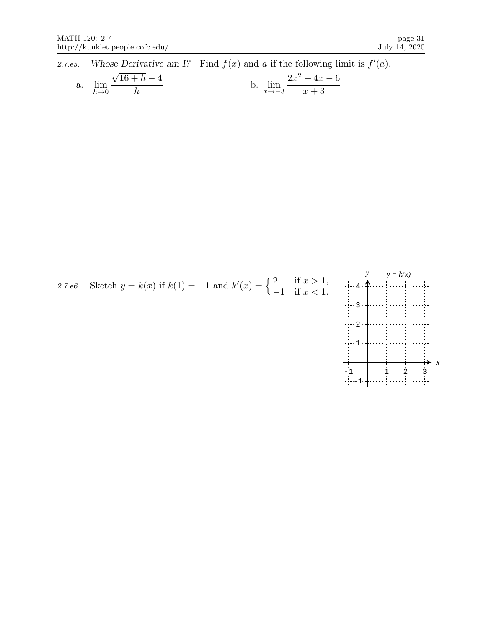2.7.e5. Whose Derivative am I? Find  $f(x)$  and a if the following limit is  $f'(a)$ . a. lim  $h\rightarrow 0$  $\sqrt{16+h} - 4$ h b.  $\lim_{x \to -3}$  $2x^2 + 4x - 6$  $x + 3$ 

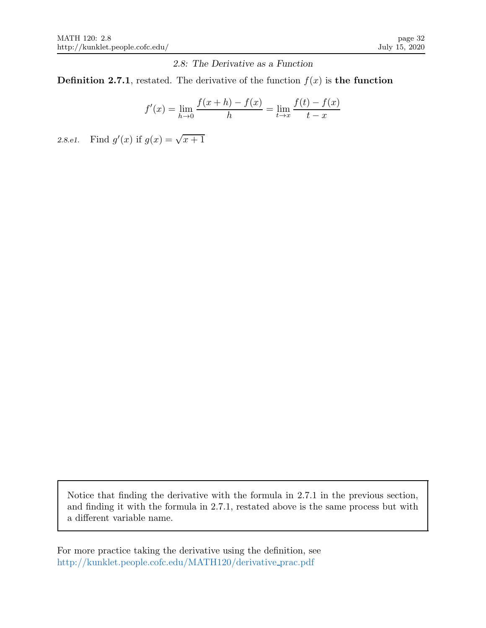2.8: The Derivative as a Function

**Definition 2.7.1**, restated. The derivative of the function  $f(x)$  is the function

$$
f'(x) = \lim_{h \to 0} \frac{f(x+h) - f(x)}{h} = \lim_{t \to x} \frac{f(t) - f(x)}{t - x}
$$

2.8.e1. Find  $g'(x)$  if  $g(x) = \sqrt{x+1}$ 

Notice that finding the derivative with the formula in 2.7.1 in the previous section, and finding it with the formula in 2.7.1, restated above is the same process but with a different variable name.

For more practice taking the derivative using the definition, see http://kunklet.people.cofc.edu/MATH120/derivative prac.pdf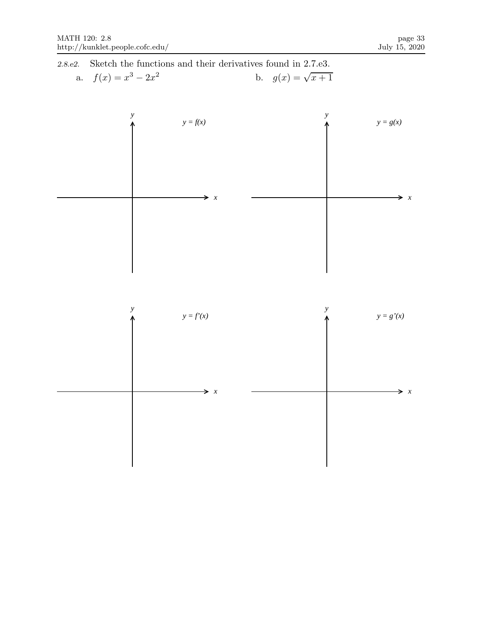2.8.e2. Sketch the functions and their derivatives found in 2.7.e3. a.  $f(x) = x^3 - 2x$ 2 b.  $g(x) = \sqrt{x+1}$ 

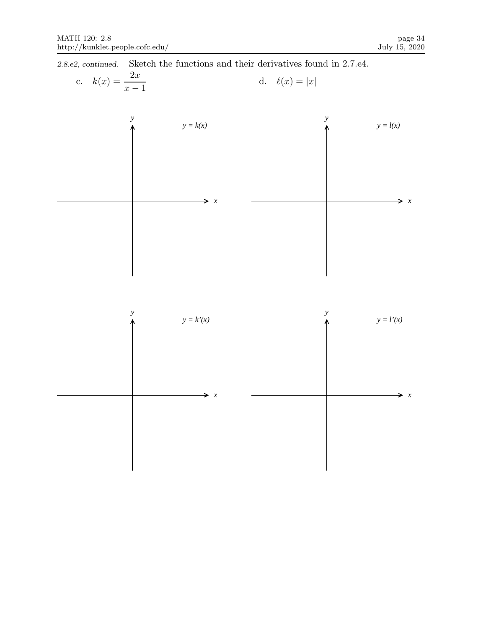2.8.e2, continued. Sketch the functions and their derivatives found in 2.7.e4.

c. 
$$
k(x) = \frac{2x}{x-1}
$$
 d.  $\ell(x) = |x|$ 



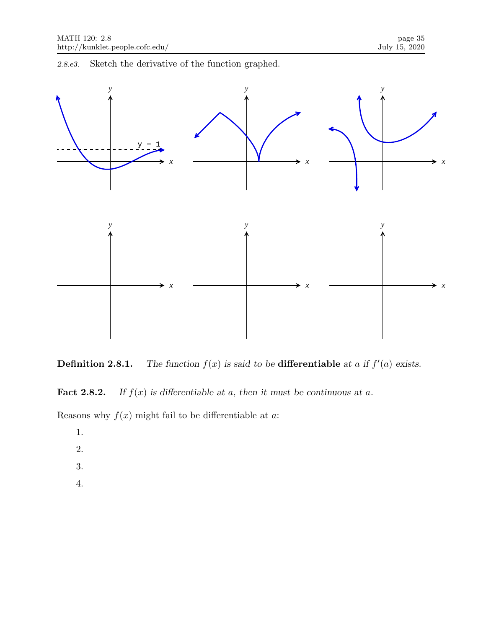2.8.e3. Sketch the derivative of the function graphed.



**Definition 2.8.1.** The function  $f(x)$  is said to be **differentiable** at a if  $f'(a)$  exists.

**Fact 2.8.2.** If  $f(x)$  is differentiable at a, then it must be continuous at a.

Reasons why  $f(x)$  might fail to be differentiable at a:

1.

- 2.
- 
- 3.
- 4.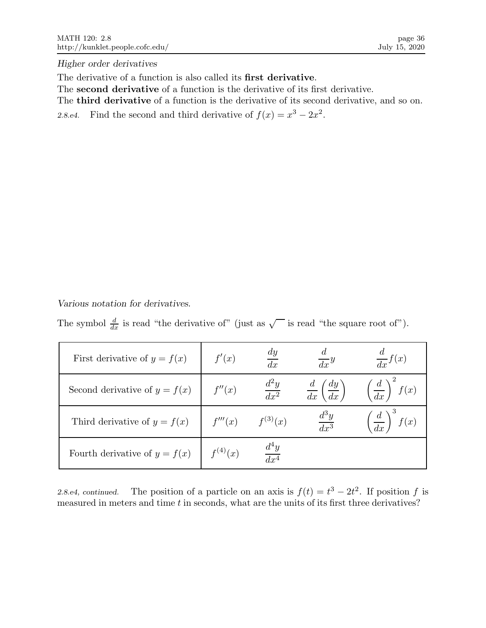Higher order derivatives

The derivative of a function is also called its first derivative.

The second derivative of a function is the derivative of its first derivative.

The third derivative of a function is the derivative of its second derivative, and so on.

2.8.e4. Find the second and third derivative of  $f(x) = x^3 - 2x^2$ .

Various notation for derivatives.

The symbol  $\frac{d}{dx}$  is read "the derivative of" (just as  $\sqrt{\phantom{a}}$  is read "the square root of").

| First derivative of $y = f(x)$  | f'(x)        | $\frac{dy}{y}$<br>$\overline{dx}$ | $rac{u}{dx}y$                             | $rac{d}{dx}f(x)$                   |
|---------------------------------|--------------|-----------------------------------|-------------------------------------------|------------------------------------|
| Second derivative of $y = f(x)$ | f''(x)       | $\frac{d^2y}{dx^2}$               | $rac{d}{dx}$ $\left(\frac{dy}{dx}\right)$ | $\left(\frac{d}{dx}\right)^2 f(x)$ |
| Third derivative of $y = f(x)$  | f'''(x)      | $f^{(3)}(x)$                      | $\frac{d^3y}{dx^3}$                       | $\left(\frac{d}{dx}\right)^3 f(x)$ |
| Fourth derivative of $y = f(x)$ | $f^{(4)}(x)$ | $\frac{d^4y}{dx^4}$               |                                           |                                    |

2.8.e4, continued. The position of a particle on an axis is  $f(t) = t^3 - 2t^2$ . If position f is measured in meters and time  $t$  in seconds, what are the units of its first three derivatives?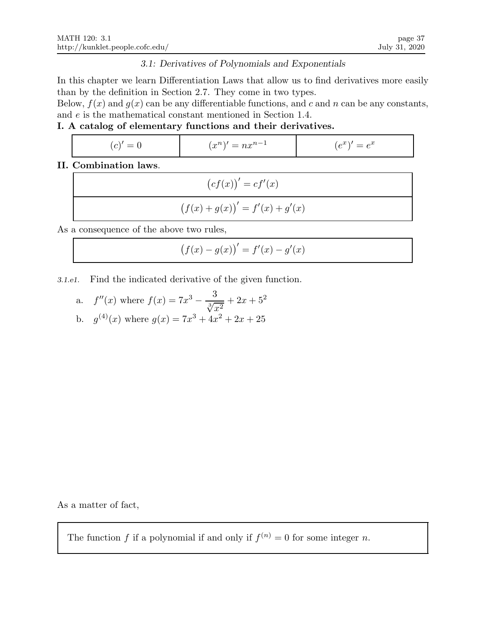## 3.1: Derivatives of Polynomials and Exponentials

In this chapter we learn Differentiation Laws that allow us to find derivatives more easily than by the definition in Section 2.7. They come in two types.

Below,  $f(x)$  and  $g(x)$  can be any differentiable functions, and c and n can be any constants, and e is the mathematical constant mentioned in Section 1.4.

## I. A catalog of elementary functions and their derivatives.

| C <br>$=$ | $x^n$<br>. .<br>$=$<br>ТE | $\sim$<br>$\sim$<br>$\sim$<br>$=$ $e$<br>◡<br>◡ |
|-----------|---------------------------|-------------------------------------------------|
|           |                           |                                                 |

## II. Combination laws.

| $(c f(x))' = c f'(x)$            |
|----------------------------------|
| $(f(x) + g(x))' = f'(x) + g'(x)$ |

As a consequence of the above two rules,

$$
(f(x) - g(x))' = f'(x) - g'(x)
$$

3.1.e1. Find the indicated derivative of the given function.

a. 
$$
f''(x)
$$
 where  $f(x) = 7x^3 - \frac{3}{\sqrt[3]{x^2}} + 2x + 5^2$   
b.  $g^{(4)}(x)$  where  $g(x) = 7x^3 + 4x^2 + 2x + 25$ 

As a matter of fact,

The function f if a polynomial if and only if  $f^{(n)} = 0$  for some integer n.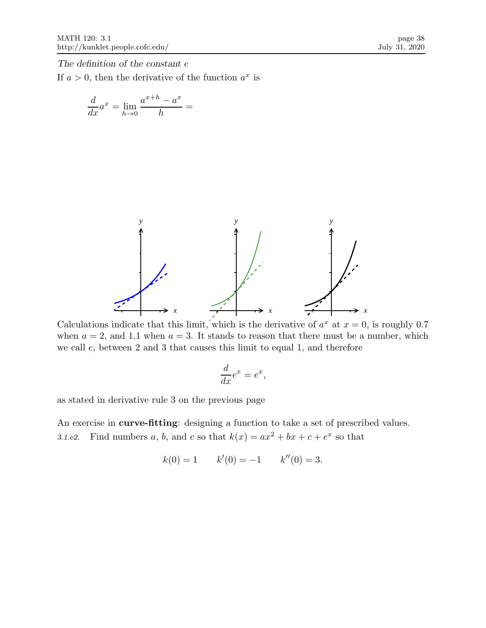The definition of the constant e

If  $a > 0$ , then the derivative of the function  $a^x$  is

$$
\frac{d}{dx}a^x = \lim_{h \to 0} \frac{a^{x+h} - a^x}{h} =
$$



Calculations indicate that this limit, which is the derivative of  $a^x$  at  $x = 0$ , is roughly 0.7 when  $a = 2$ , and 1.1 when  $a = 3$ . It stands to reason that there must be a number, which we call e, between 2 and 3 that causes this limit to equal 1, and therefore

$$
\frac{d}{dx}e^x = e^x
$$

,

as stated in derivative rule 3 on the previous page

An exercise in curve-fitting: designing a function to take a set of prescribed values. 3.1.e2. Find numbers a, b, and c so that  $k(x) = ax^2 + bx + c + e^x$  so that

$$
k(0) = 1
$$
  $k'(0) = -1$   $k''(0) = 3$ .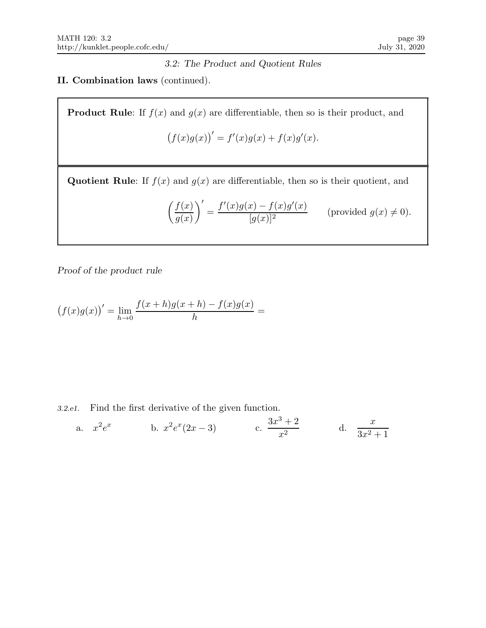# 3.2: The Product and Quotient Rules

## II. Combination laws (continued).

**Product Rule:** If  $f(x)$  and  $g(x)$  are differentiable, then so is their product, and

$$
(f(x)g(x))' = f'(x)g(x) + f(x)g'(x).
$$

Quotient Rule: If  $f(x)$  and  $g(x)$  are differentiable, then so is their quotient, and

$$
\left(\frac{f(x)}{g(x)}\right)' = \frac{f'(x)g(x) - f(x)g'(x)}{[g(x)]^2}
$$
 (provided  $g(x) \neq 0$ ).

Proof of the product rule

$$
(f(x)g(x))' = \lim_{h \to 0} \frac{f(x+h)g(x+h) - f(x)g(x)}{h} =
$$

3.2.e1. Find the first derivative of the given function.

a. 
$$
x^2 e^x
$$
 b.  $x^2 e^x (2x - 3)$  c.  $\frac{3x^3 + 2}{x^2}$  d.  $\frac{x}{3x^2 + 1}$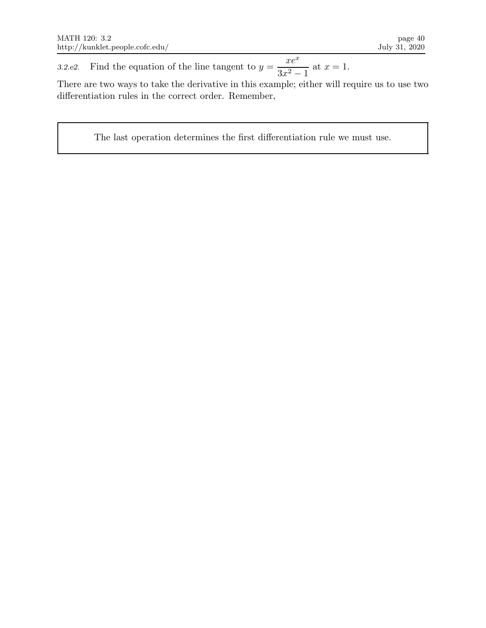3.2.e2. Find the equation of the line tangent to  $y =$  $xe^x$  $\frac{3x^2-1}{3x^2-1}$  at  $x=1$ .

There are two ways to take the derivative in this example; either will require us to use two differentiation rules in the correct order. Remember,

The last operation determines the first differentiation rule we must use.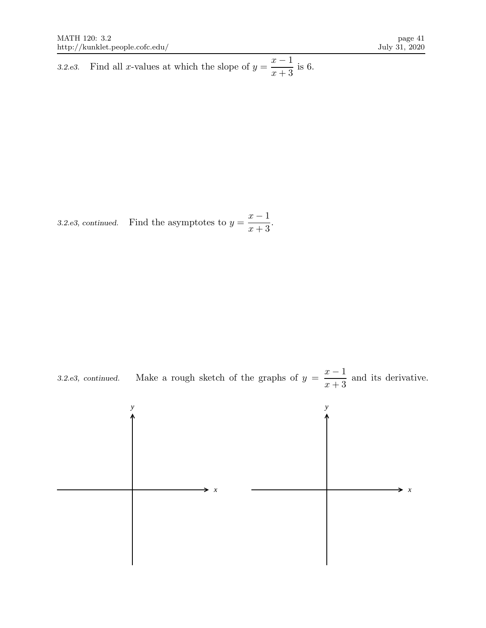3.2.e3. Find all x-values at which the slope of  $y = \frac{x-1}{x-2}$  $x + 3$ is 6.

3.2.e3, continued. Find the asymptotes to  $y = \frac{x-1}{x-2}$  $x + 3$ .



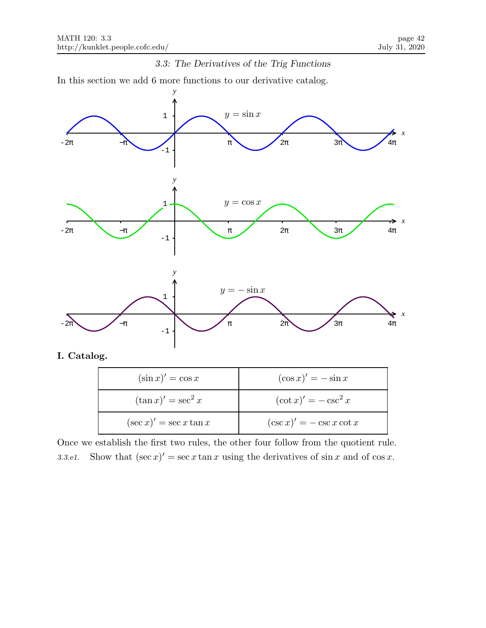### 3.3: The Derivatives of the Trig Functions

In this section we add 6 more functions to our derivative catalog.



Once we establish the first two rules, the other four follow from the quotient rule. 3.3.e1. Show that  $(\sec x)' = \sec x \tan x$  using the derivatives of  $\sin x$  and of  $\cos x$ .

 $(\csc x)' = -\csc x \cot x$ 

 $(\sec x)' = \sec x \tan x$  (csc x)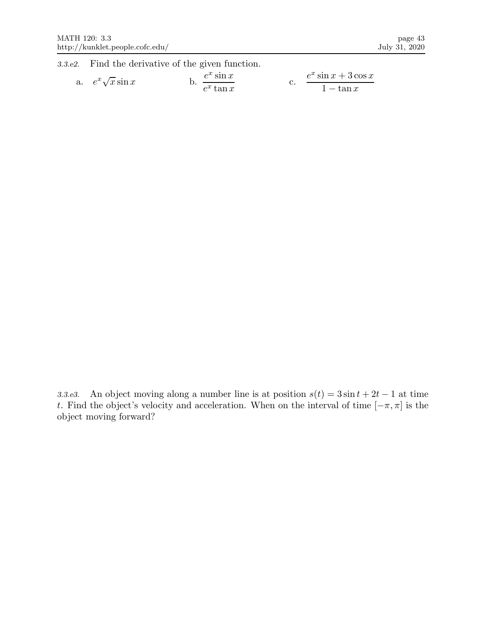3.3.e2. Find the derivative of the given function.

a. 
$$
e^x \sqrt{x} \sin x
$$
 b.  $\frac{e^x \sin x}{e^x \tan x}$  c.  $\frac{e^x \sin x + 3 \cos x}{1 - \tan x}$ 

3.3.e3. An object moving along a number line is at position  $s(t) = 3 \sin t + 2t - 1$  at time t. Find the object's velocity and acceleration. When on the interval of time  $[-\pi, \pi]$  is the object moving forward?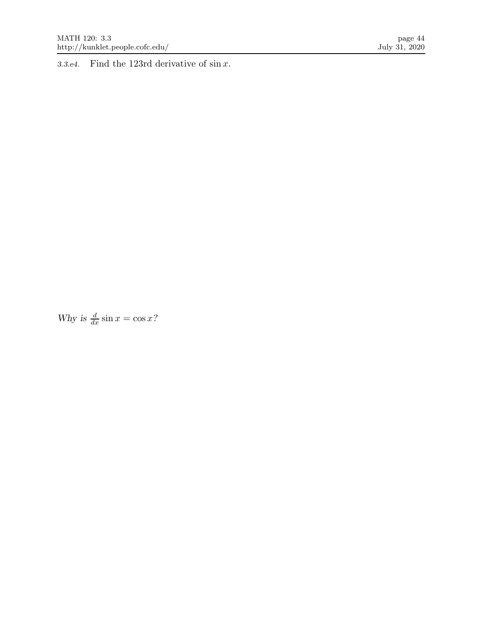3.3.e4. Find the 123rd derivative of  $\sin x$ .

Why is  $\frac{d}{dx} \sin x = \cos x$ ?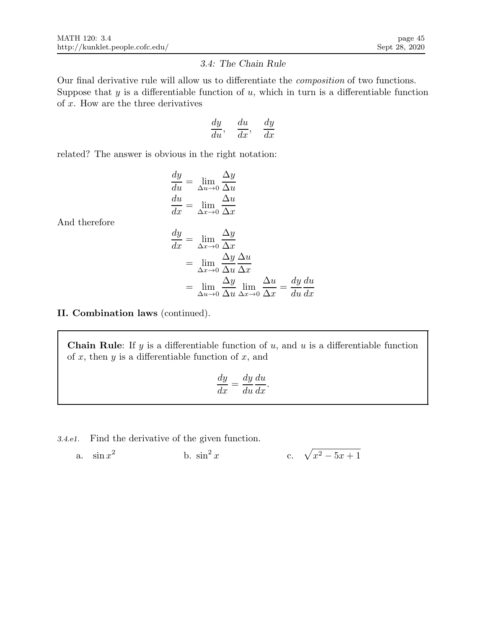### 3.4: The Chain Rule

Our final derivative rule will allow us to differentiate the composition of two functions. Suppose that  $y$  is a differentiable function of  $u$ , which in turn is a differentiable function of  $x$ . How are the three derivatives

$$
\frac{dy}{du}, \quad \frac{du}{dx}, \quad \frac{dy}{dx}
$$

related? The answer is obvious in the right notation:

$$
\frac{dy}{du} = \lim_{\Delta u \to 0} \frac{\Delta y}{\Delta u}
$$

$$
\frac{du}{dx} = \lim_{\Delta x \to 0} \frac{\Delta u}{\Delta x}
$$

And therefore

$$
\frac{dy}{dx} = \lim_{\Delta x \to 0} \frac{\Delta y}{\Delta x}
$$
  
= 
$$
\lim_{\Delta x \to 0} \frac{\Delta y}{\Delta u} \frac{\Delta u}{\Delta x}
$$
  
= 
$$
\lim_{\Delta u \to 0} \frac{\Delta y}{\Delta u} \lim_{\Delta x \to 0} \frac{\Delta u}{\Delta x} = \frac{dy}{du} \frac{du}{dx}
$$

### II. Combination laws (continued).

**Chain Rule:** If y is a differentiable function of u, and u is a differentiable function of  $x$ , then  $y$  is a differentiable function of  $x$ , and

$$
\frac{dy}{dx} = \frac{dy}{du}\frac{du}{dx}.
$$

3.4.e1. Find the derivative of the given function.

a. 
$$
\sin x^2
$$
 b.  $\sin^2 x$  c.  $\sqrt{x^2 - 5x + 1}$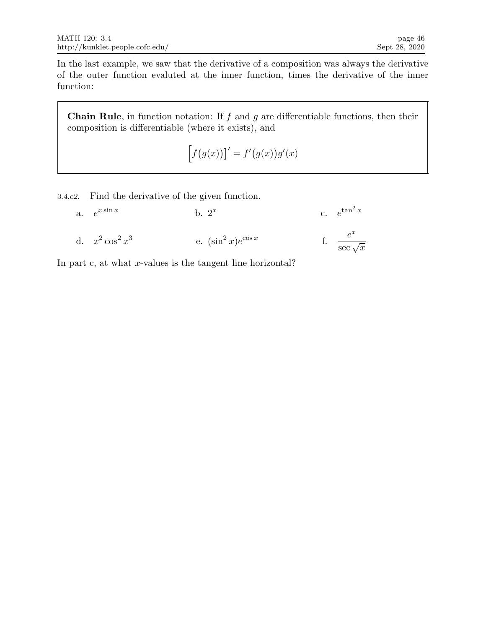In the last example, we saw that the derivative of a composition was always the derivative of the outer function evaluted at the inner function, times the derivative of the inner function:

**Chain Rule**, in function notation: If  $f$  and  $g$  are differentiable functions, then their composition is differentiable (where it exists), and

$$
\Big[ f\big(g(x)\big)\big]' = f'\big(g(x)\big)g'(x)
$$

3.4.e2. Find the derivative of the given function.

| a. $e^{x \sin x}$   | b. $2^x$                  | c. $e^{\tan^2 x}$         |
|---------------------|---------------------------|---------------------------|
| d. $x^2 \cos^2 x^3$ | e. $(\sin^2 x)e^{\cos x}$ | $rac{e^x}{\sec \sqrt{x}}$ |

In part c, at what  $x$ -values is the tangent line horizontal?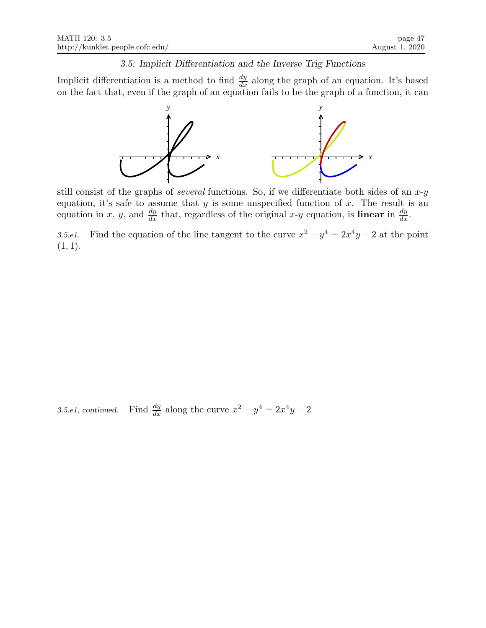### 3.5: Implicit Differentiation and the Inverse Trig Functions

Implicit differentiation is a method to find  $\frac{dy}{dx}$  along the graph of an equation. It's based on the fact that, even if the graph of an equation fails to be the graph of a function, it can



still consist of the graphs of *several* functions. So, if we differentiate both sides of an  $x-y$ equation, it's safe to assume that  $y$  is some unspecified function of  $x$ . The result is an equation in x, y, and  $\frac{dy}{dx}$  that, regardless of the original x-y equation, is **linear** in  $\frac{dy}{dx}$ .

3.5.e1. Find the equation of the line tangent to the curve  $x^2 - y^4 = 2x^4y - 2$  at the point  $(1, 1).$ 

 $3.5. e1,$   ${\it continued.}$  $\frac{dy}{dx}$  along the curve  $x^2 - y^4 = 2x^4y - 2$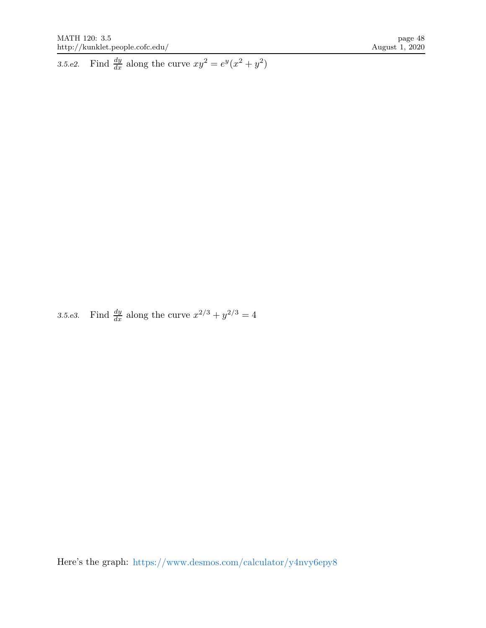3.5.e2. Find  $\frac{dy}{dx}$  along the curve  $xy^2 = e^y(x^2 + y^2)$ 

3.5.e3. Find  $\frac{dy}{dx}$  along the curve  $x^{2/3} + y^{2/3} = 4$ 

Here's the graph: https://www.desmos.com/calculator/y4nvy6epy8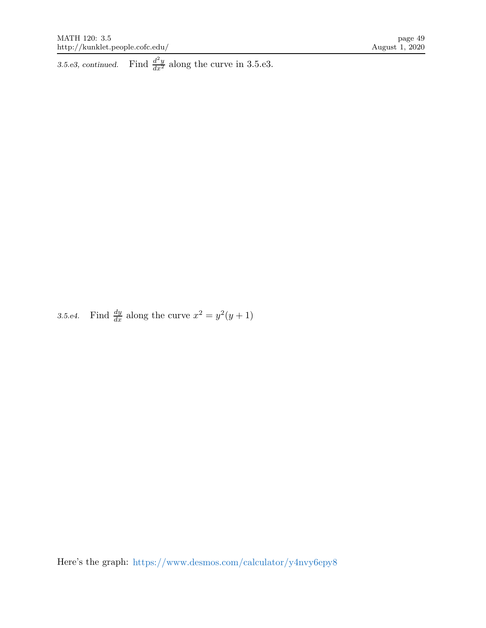3.5.e3, continued. Find  $\frac{d^2y}{dx^2}$  along the curve in 3.5.e3.

3.5.e4. Find  $\frac{dy}{dx}$  along the curve  $x^2 = y^2(y+1)$ 

Here's the graph: https://www.desmos.com/calculator/y4nvy6epy8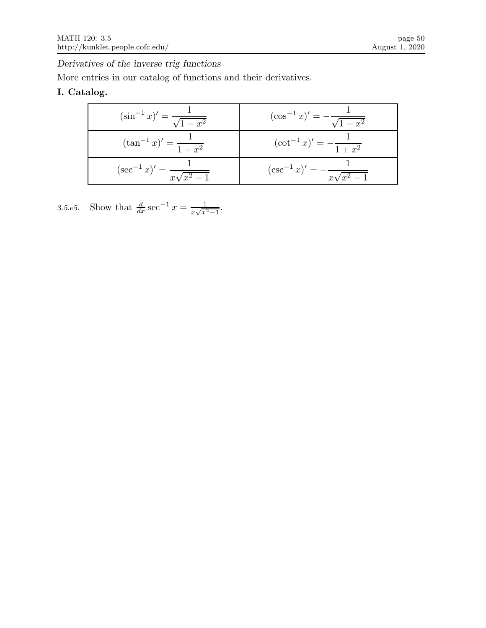Derivatives of the inverse trig functions

More entries in our catalog of functions and their derivatives.

# I. Catalog.

| $(\sin^{-1} x)' = \frac{1}{\sqrt{1 - x^2}}$ | $(\cos^{-1} x)' = -\frac{1}{\sqrt{1-x^2}}$  |
|---------------------------------------------|---------------------------------------------|
| $(\tan^{-1} x)' = \frac{1}{1+x^2}$          | $(\cot^{-1} x)' = -\frac{1}{1+x^2}$         |
| $(\sec^{-1} x)' = \frac{1}{x\sqrt{x^2-1}}$  | $(\csc^{-1} x)' = -\frac{1}{x\sqrt{x^2-1}}$ |

3.5.e5. Show that  $\frac{d}{dx}$  sec<sup>-1</sup>  $x = \frac{1}{x\sqrt{x^2}}$  $rac{1}{x\sqrt{x^2-1}}$ .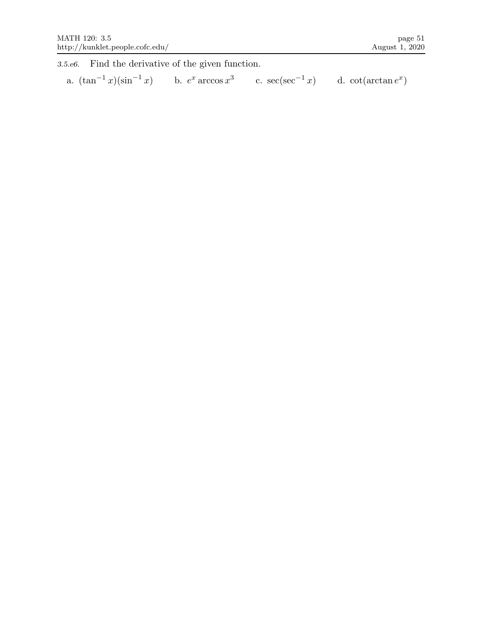3.5.e6. Find the derivative of the given function.

a.  $(\tan^{-1} x)(\sin^{-1} x)$  b.  $e^x \arccos x^3$ c.  $\sec(\sec^{-1} x)$  d.  $\cot(\arctan e^x)$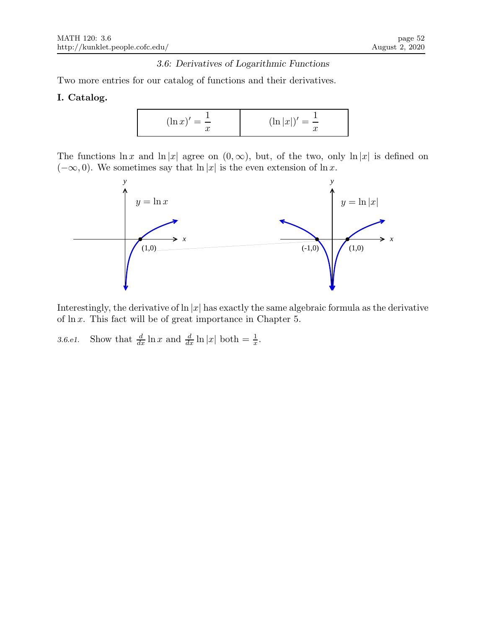## 3.6: Derivatives of Logarithmic Functions

Two more entries for our catalog of functions and their derivatives.

## I. Catalog.

$$
(\ln x)' = \frac{1}{x}
$$
  $(\ln |x|)' = \frac{1}{x}$ 

The functions  $\ln x$  and  $\ln |x|$  agree on  $(0, \infty)$ , but, of the two, only  $\ln |x|$  is defined on  $(-\infty, 0)$ . We sometimes say that  $\ln |x|$  is the even extension of  $\ln x$ .



Interestingly, the derivative of  $\ln |x|$  has exactly the same algebraic formula as the derivative of ln x. This fact will be of great importance in Chapter 5.

3.6.e1. Show that  $\frac{d}{dx} \ln x$  and  $\frac{d}{dx} \ln |x|$  both  $= \frac{1}{x}$ .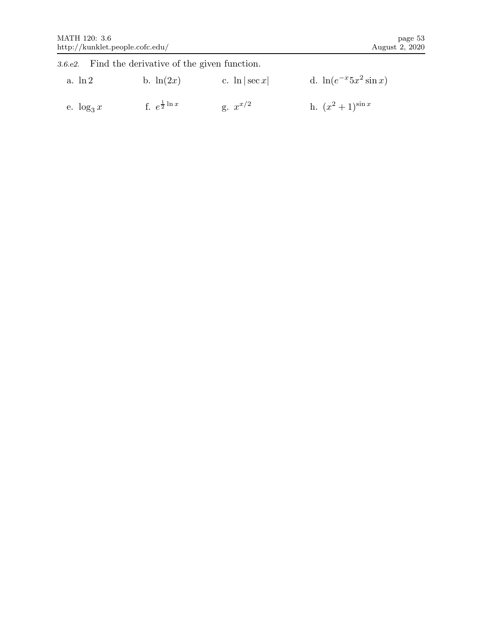|               | 3.6.e2. Find the derivative of the given function. |                   |                              |
|---------------|----------------------------------------------------|-------------------|------------------------------|
| $a. \ln 2$    | b. $\ln(2x)$                                       | c. $\ln  \sec x $ | d. $\ln(e^{-x} 5x^2 \sin x)$ |
| e. $\log_3 x$ | f. $e^{\frac{1}{2} \ln x}$                         | g. $x^{x/2}$      | h. $(x^2+1)^{\sin x}$        |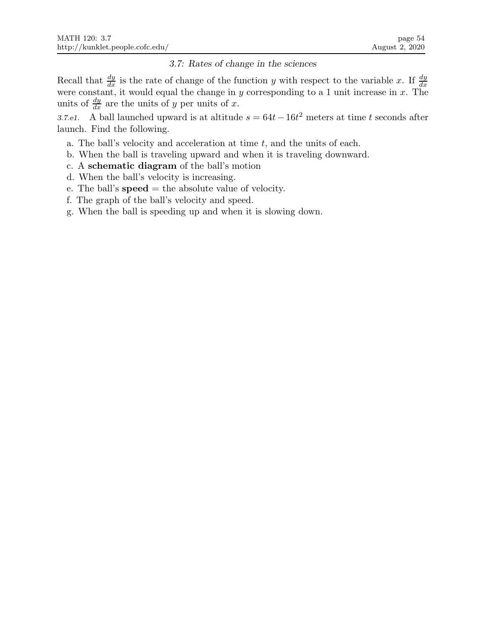## 3.7: Rates of change in the sciences

Recall that  $\frac{dy}{dx}$  is the rate of change of the function y with respect to the variable x. If  $\frac{dy}{dx}$  were constant, it would equal the change in y corresponding to a 1 unit increase in x. The units of  $\frac{dy}{dx}$  are the units of y per units of x.

3.7.e1. A ball launched upward is at altitude  $s = 64t - 16t^2$  meters at time t seconds after launch. Find the following.

- a. The ball's velocity and acceleration at time  $t$ , and the units of each.
- b. When the ball is traveling upward and when it is traveling downward.
- c. A schematic diagram of the ball's motion
- d. When the ball's velocity is increasing.
- e. The ball's  $speed = the absolute value of velocity.$
- f. The graph of the ball's velocity and speed.
- g. When the ball is speeding up and when it is slowing down.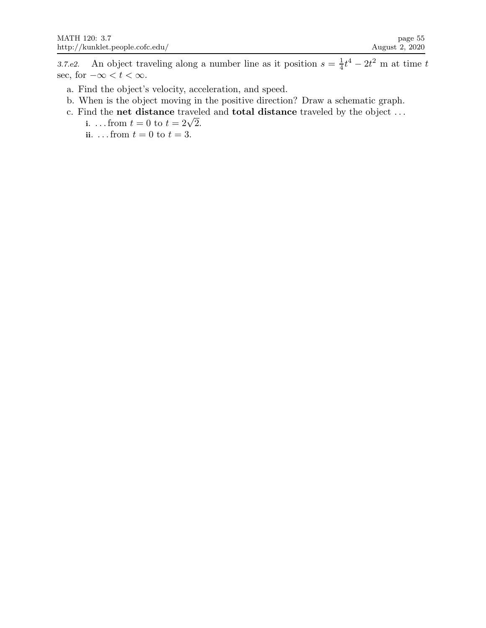3.7.e2. An object traveling along a number line as it position  $s = \frac{1}{4}$  $\frac{1}{4}t^4 - 2t^2$  m at time t sec, for  $-\infty < t < \infty$ .

- a. Find the object's velocity, acceleration, and speed.
- b. When is the object moving in the positive direction? Draw a schematic graph.
- c. Find the net distance traveled and total distance traveled by the object . . .
	- i. ... from  $t = 0$  to  $t = 2\sqrt{2}$ .
	- ii. ... from  $t = 0$  to  $t = 3$ .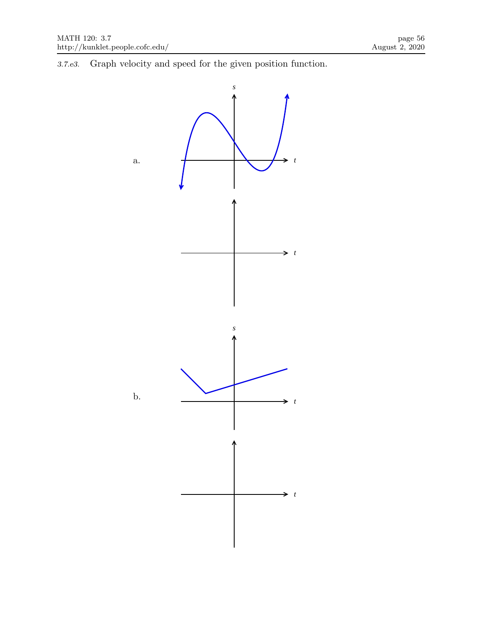3.7.e3. Graph velocity and speed for the given position function.

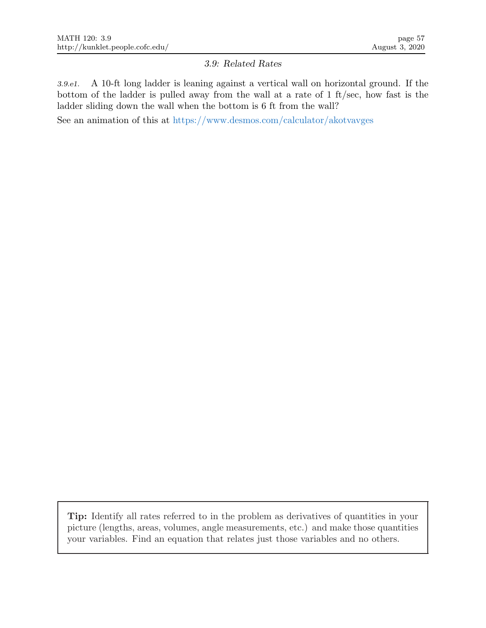## 3.9: Related Rates

3.9.e1. A 10-ft long ladder is leaning against a vertical wall on horizontal ground. If the bottom of the ladder is pulled away from the wall at a rate of 1 ft/sec, how fast is the ladder sliding down the wall when the bottom is 6 ft from the wall?

See an animation of this at https://www.desmos.com/calculator/akotvavges

Tip: Identify all rates referred to in the problem as derivatives of quantities in your picture (lengths, areas, volumes, angle measurements, etc.) and make those quantities your variables. Find an equation that relates just those variables and no others.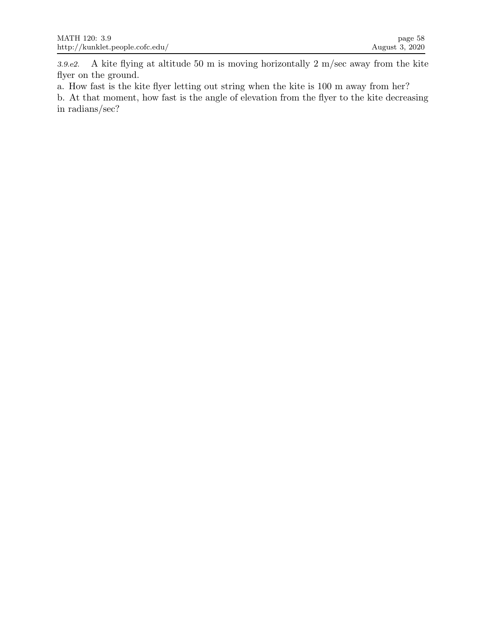3.9.e2. A kite flying at altitude 50 m is moving horizontally 2 m/sec away from the kite flyer on the ground.

a. How fast is the kite flyer letting out string when the kite is 100 m away from her?

b. At that moment, how fast is the angle of elevation from the flyer to the kite decreasing in radians/sec?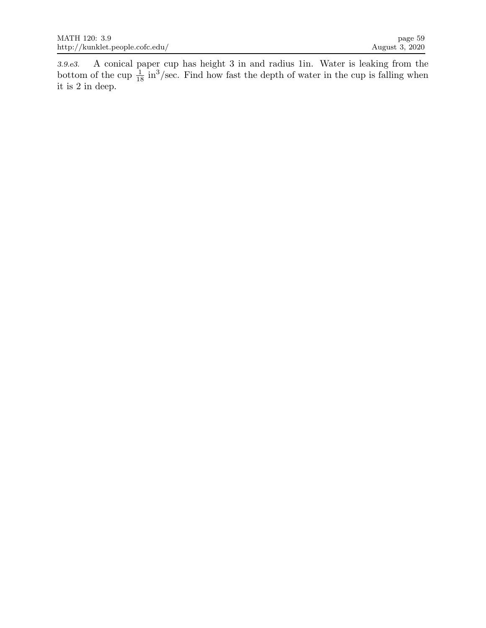3.9.e3. A conical paper cup has height 3 in and radius 1in. Water is leaking from the bottom of the cup  $\frac{1}{18}$  in<sup>3</sup>/sec. Find how fast the depth of water in the cup is falling when it is 2 in deep.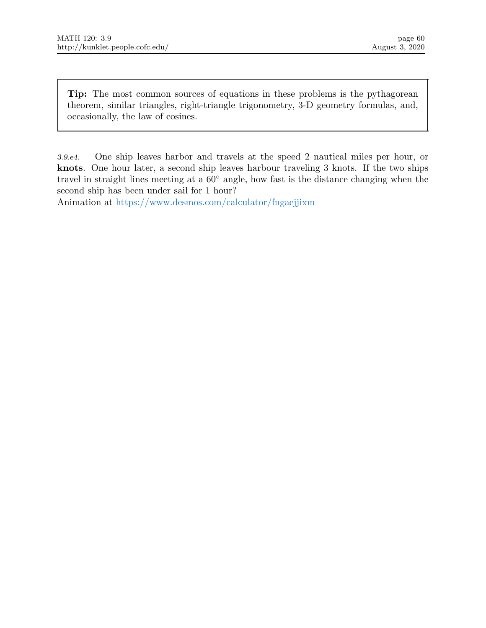Tip: The most common sources of equations in these problems is the pythagorean theorem, similar triangles, right-triangle trigonometry, 3-D geometry formulas, and, occasionally, the law of cosines.

3.9.e4. One ship leaves harbor and travels at the speed 2 nautical miles per hour, or knots. One hour later, a second ship leaves harbour traveling 3 knots. If the two ships travel in straight lines meeting at a 60◦ angle, how fast is the distance changing when the second ship has been under sail for 1 hour?

Animation at https://www.desmos.com/calculator/fngaejjixm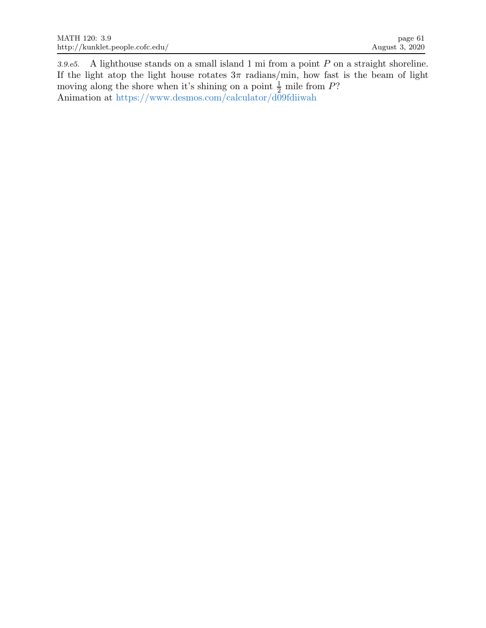3.9.e5. A lighthouse stands on a small island 1 mi from a point P on a straight shoreline. If the light atop the light house rotates  $3\pi$  radians/min, how fast is the beam of light moving along the shore when it's shining on a point  $\frac{1}{2}$  mile from P? Animation at https://www.desmos.com/calculator/d09fdiiwah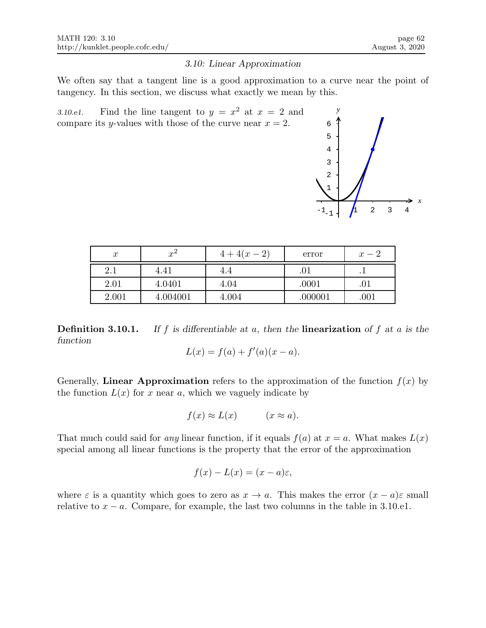#### 3.10: Linear Approximation

We often say that a tangent line is a good approximation to a curve near the point of tangency. In this section, we discuss what exactly we mean by this.

3.10.e1. Find the line tangent to  $y = x^2$  at  $x = 2$  and compare its y-values with those of the curve near  $x = 2$ .



| $\boldsymbol{x}$ | $x^2$    | $4+4(x-2)$ | error   | $x-2$ |
|------------------|----------|------------|---------|-------|
| 2.1              | 4.41     | 4.4        | .01     |       |
| 2.01             | 4.0401   | 4.04       | .0001   |       |
| 2.001            | 4.004001 | 4.004      | .000001 | .001  |

**Definition 3.10.1.** If f is differentiable at a, then the **linearization** of f at a is the function

$$
L(x) = f(a) + f'(a)(x - a).
$$

Generally, Linear Approximation refers to the approximation of the function  $f(x)$  by the function  $L(x)$  for x near a, which we vaguely indicate by

$$
f(x) \approx L(x) \qquad (x \approx a).
$$

That much could said for any linear function, if it equals  $f(a)$  at  $x = a$ . What makes  $L(x)$ special among all linear functions is the property that the error of the approximation

$$
f(x) - L(x) = (x - a)\varepsilon,
$$

where  $\varepsilon$  is a quantity which goes to zero as  $x \to a$ . This makes the error  $(x - a)\varepsilon$  small relative to  $x - a$ . Compare, for example, the last two columns in the table in 3.10.e1.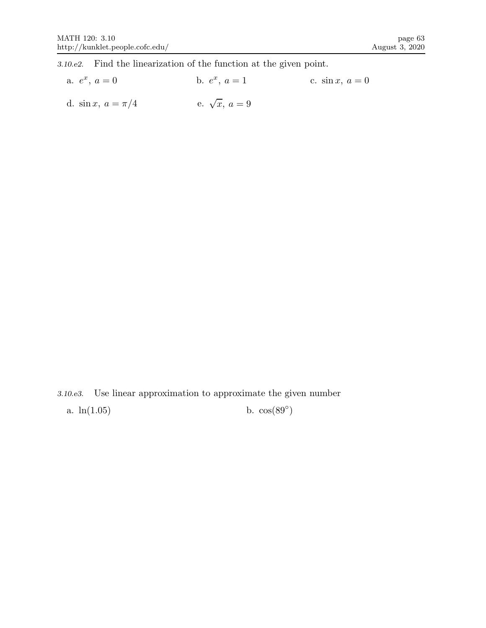3.10.e2. Find the linearization of the function at the given point.

a.  $e^x$ ,  $a = 0$  b. e b.  $e^x$ ,  $a = 1$ c.  $\sin x, a = 0$ d. sin x,  $a = \pi/4$ e.  $\sqrt{x}$ ,  $a = 9$ 

3.10.e3. Use linear approximation to approximate the given number a.  $ln(1.05)$ b.  $cos(89^\circ)$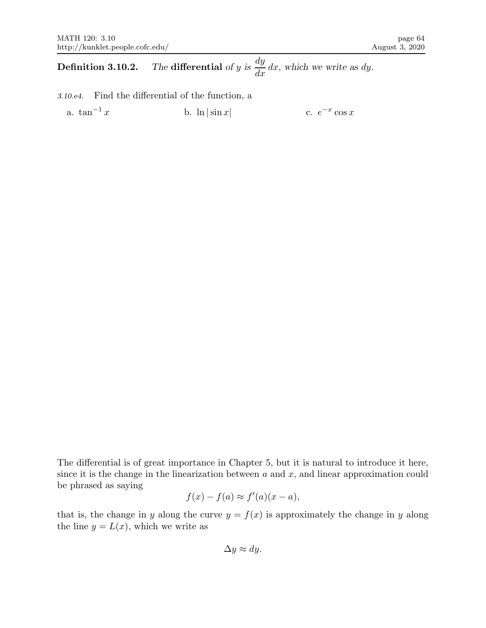**Definition 3.10.2.** The differential of y is dy  $\frac{dy}{dx}$  dx, which we write as dy.

3.10.e4. Find the differential of the function, a

a.  $\tan^{-1} x$  b.  $\ln|\sin x|$  $^{-x}$  cos x

The differential is of great importance in Chapter 5, but it is natural to introduce it here, since it is the change in the linearization between  $a$  and  $x$ , and linear approximation could be phrased as saying

$$
f(x) - f(a) \approx f'(a)(x - a),
$$

that is, the change in y along the curve  $y = f(x)$  is approximately the change in y along the line  $y = L(x)$ , which we write as

$$
\Delta y \approx dy.
$$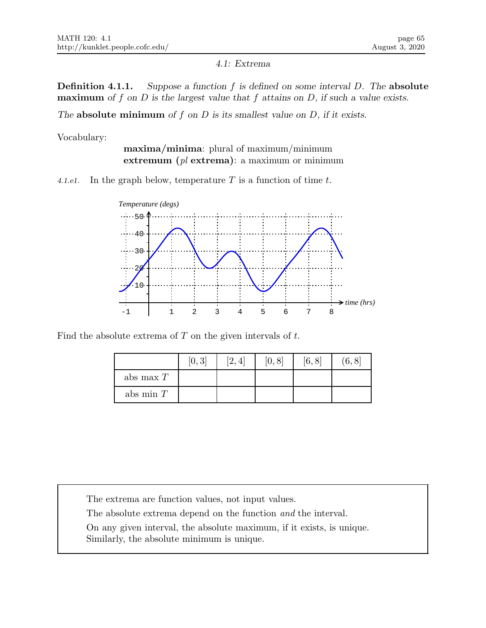4.1: Extrema

**Definition 4.1.1.** Suppose a function  $f$  is defined on some interval  $D$ . The absolute **maximum** of f on D is the largest value that f attains on D, if such a value exists.

The absolute minimum of  $f$  on  $D$  is its smallest value on  $D$ , if it exists.

Vocabulary:

maxima/minima: plural of maximum/minimum extremum  $(pl \text{ extrema})$ : a maximum or minimum

4.1.e1. In the graph below, temperature  $T$  is a function of time  $t$ .



Find the absolute extrema of  $T$  on the given intervals of  $t$ .

|             | [0, 3] | [2, 4] | [0, 8] | [6, 8] | (6, 8) |
|-------------|--------|--------|--------|--------|--------|
| abs max $T$ |        |        |        |        |        |
| abs min $T$ |        |        |        |        |        |

The extrema are function values, not input values.

The absolute extrema depend on the function and the interval.

On any given interval, the absolute maximum, if it exists, is unique. Similarly, the absolute minimum is unique.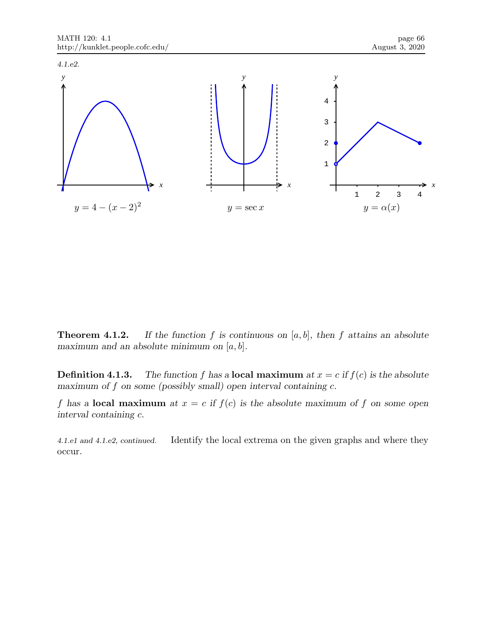

**Theorem 4.1.2.** If the function f is continuous on  $[a, b]$ , then f attains an absolute maximum and an absolute minimum on  $[a, b]$ .

**Definition 4.1.3.** The function f has a **local maximum** at  $x = c$  if  $f(c)$  is the absolute maximum of  $f$  on some (possibly small) open interval containing  $c$ .

f has a **local maximum** at  $x = c$  if  $f(c)$  is the absolute maximum of f on some open interval containing c.

4.1.e1 and 4.1.e2, continued. Identify the local extrema on the given graphs and where they occur.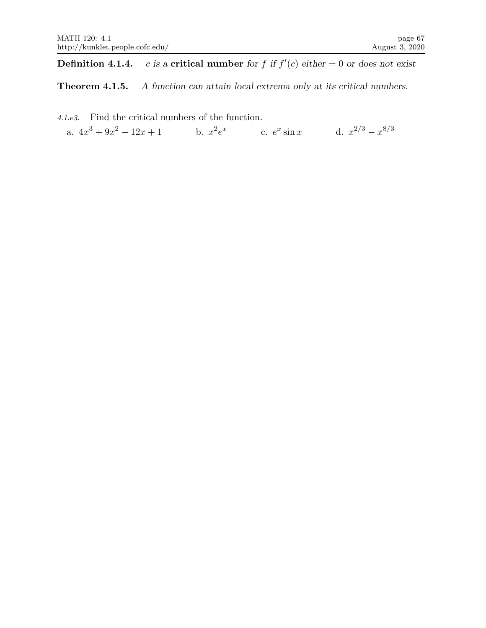**Definition 4.1.4.** c is a critical number for f if  $f'(c)$  either  $= 0$  or does not exist

Theorem 4.1.5. A function can attain local extrema only at its critical numbers.

4.1.e3. Find the critical numbers of the function. a.  $4x^3 + 9x^2 - 12x + 1$  b.  $x^2e^x$  c.  $e^x \sin x$  d.  $x^{2/3} - x^{8/3}$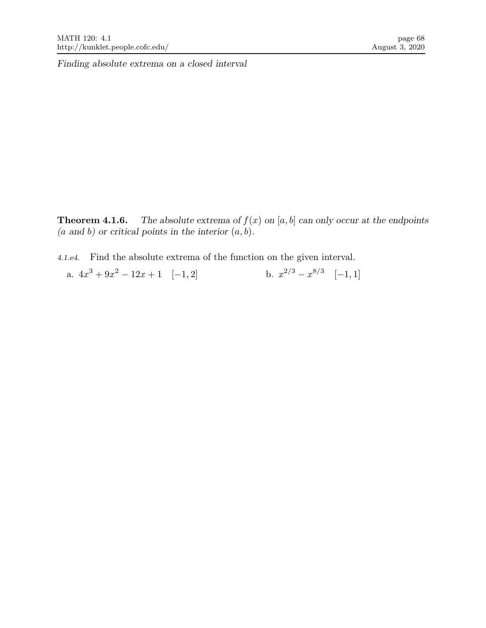**Theorem 4.1.6.** The absolute extrema of  $f(x)$  on [a, b] can only occur at the endpoints  $(a \text{ and } b)$  or critical points in the interior  $(a, b)$ .

4.1.e4. Find the absolute extrema of the function on the given interval.

a.  $4x^3 + 9x^2 - 12x + 1 \quad [-1, 2]$  b. x  $2/3 - x^{8/3} \quad [-1, 1]$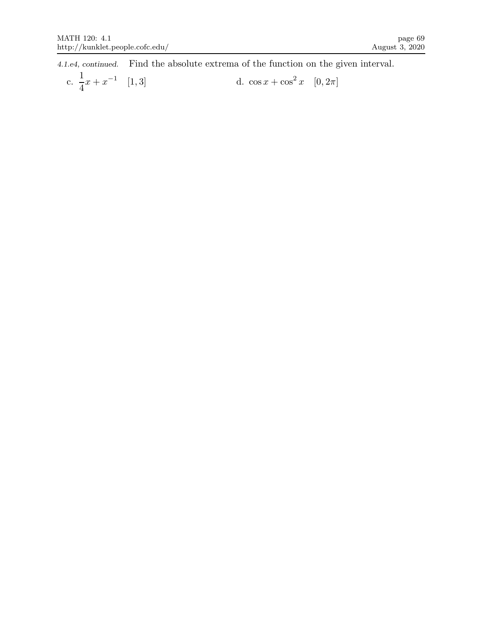4.1.e4, continued. Find the absolute extrema of the function on the given interval.

c. 
$$
\frac{1}{4}x + x^{-1}
$$
 [1,3] d.  $\cos x + \cos^2 x$  [0, 2 $\pi$ ]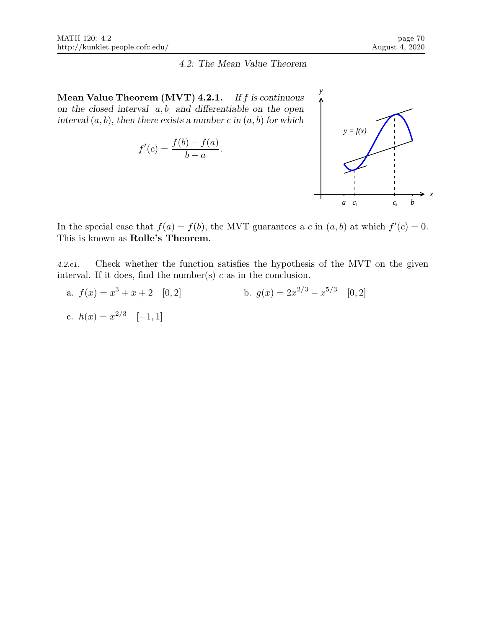#### 4.2: The Mean Value Theorem

Mean Value Theorem  $(MVT)$  4.2.1. If f is continuous on the closed interval  $[a, b]$  and differentiable on the open interval  $(a, b)$ , then there exists a number c in  $(a, b)$  for which

$$
f'(c) = \frac{f(b) - f(a)}{b - a}.
$$



In the special case that  $f(a) = f(b)$ , the MVT guarantees a c in  $(a, b)$  at which  $f'(c) = 0$ . This is known as Rolle's Theorem.

4.2.e1. Check whether the function satisfies the hypothesis of the MVT on the given interval. If it does, find the number(s)  $c$  as in the conclusion.

a.  $f(x) = x^3 + x + 2$  [0, 2]  $3+x+2$  [0, 2] b.  $g(x) = 2x^{2/3} - x^{5/3}$  [0, 2] c.  $h(x) = x^{2/3} \quad [-1, 1]$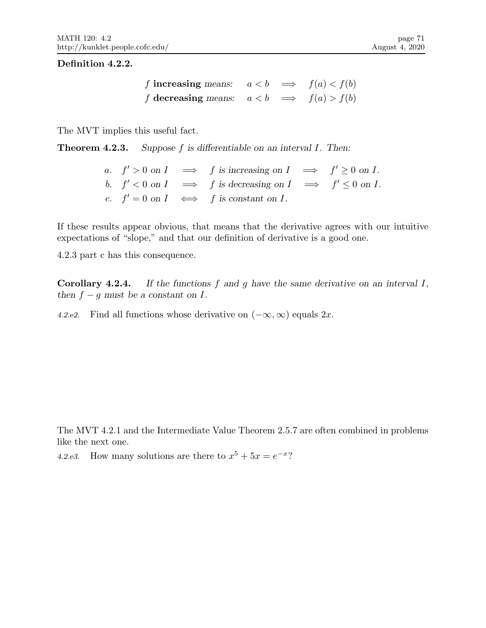### Definition 4.2.2.

f increasing means: f decreasing means:  $a < b \implies f(a) < f(b)$  $a < b \implies f(a) > f(b)$ 

The MVT implies this useful fact.

Theorem 4.2.3. Suppose f is differentiable on an interval I. Then:

|  | a. $f' > 0$ on $I \implies f$ is increasing on $I \implies f' \ge 0$ on $I$ .  |  |
|--|--------------------------------------------------------------------------------|--|
|  | b. $f' < 0$ on $I \implies f$ is decreasing on $I \implies f' \leq 0$ on $I$ . |  |
|  | c. $f' = 0$ on $I \iff f$ is constant on $I$ .                                 |  |

If these results appear obvious, that means that the derivative agrees with our intuitive expectations of "slope," and that our definition of derivative is a good one.

4.2.3 part c has this consequence.

**Corollary 4.2.4.** If the functions  $f$  and  $g$  have the same derivative on an interval  $I$ , then  $f - g$  must be a constant on  $I$ .

4.2.e2. Find all functions whose derivative on  $(-\infty, \infty)$  equals 2x.

The MVT 4.2.1 and the Intermediate Value Theorem 2.5.7 are often combined in problems like the next one.

4.2.e3. How many solutions are there to  $x^5 + 5x = e^{-x}$ ?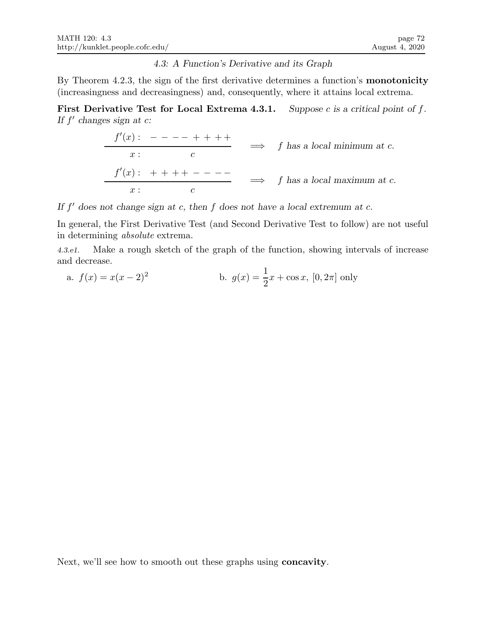### 4.3: A Function's Derivative and its Graph

By Theorem 4.2.3, the sign of the first derivative determines a function's **monotonicity** (increasingness and decreasingness) and, consequently, where it attains local extrema.

First Derivative Test for Local Extrema 4.3.1. Suppose c is a critical point of  $f$ . If  $f'$  changes sign at  $c$ :

$$
\begin{array}{rcl}\nf'(x) : & - & - & - & + & + & + \\
\hline\nx : & & c & & \\
f'(x) : & & + & + & + & - & - & - \\
\hline\nx : & & & c & & \\
\end{array}\n\quad \implies \quad f \text{ has a local maximum at } c.
$$

If  $f'$  does not change sign at c, then  $f$  does not have a local extremum at c.

In general, the First Derivative Test (and Second Derivative Test to follow) are not useful in determining absolute extrema.

4.3.e1. Make a rough sketch of the graph of the function, showing intervals of increase and decrease.

a. 
$$
f(x) = x(x-2)^2
$$
 b.  $g(x) = \frac{1}{2}x + \cos x$ , [0, 2 $\pi$ ] only

Next, we'll see how to smooth out these graphs using concavity.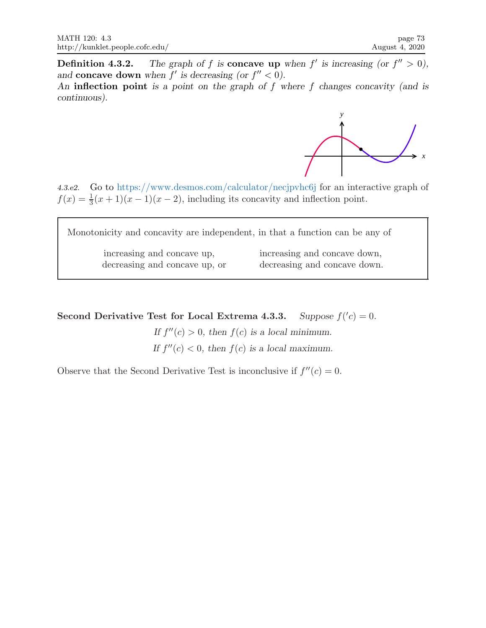**Definition 4.3.2.** The graph of f is **concave up** when f' is increasing (or  $f'' > 0$ ), and concave down when  $f'$  is decreasing (or  $f'' < 0$ ).

An inflection point is a point on the graph of  $f$  where  $f$  changes concavity (and is continuous).



4.3.e2. Go to https://www.desmos.com/calculator/necjpvhc6j for an interactive graph of  $f(x) = \frac{1}{3}(x+1)(x-1)(x-2)$ , including its concavity and inflection point.

Monotonicity and concavity are independent, in that a function can be any of increasing and concave up, increasing and concave down, decreasing and concave up, or decreasing and concave down.

Second Derivative Test for Local Extrema 4.3.3.  $'c) = 0.$ 

> If  $f''(c) > 0$ , then  $f(c)$  is a local minimum. If  $f''(c) < 0$ , then  $f(c)$  is a local maximum.

Observe that the Second Derivative Test is inconclusive if  $f''(c) = 0$ .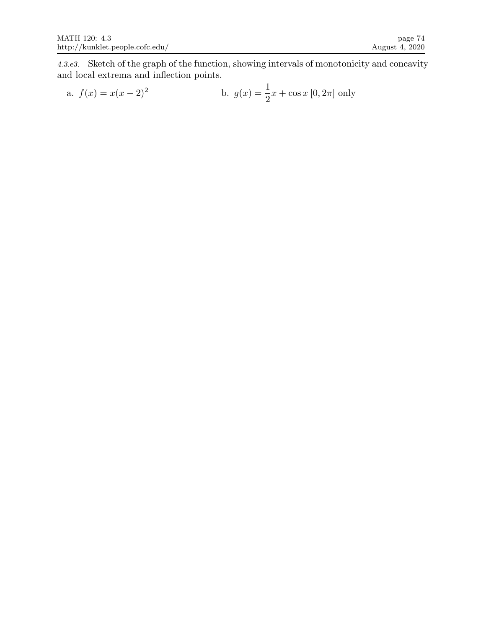4.3.e3. Sketch of the graph of the function, showing intervals of monotonicity and concavity and local extrema and inflection points.

a. 
$$
f(x) = x(x-2)^2
$$
 b.  $g(x) = \frac{1}{2}x + \cos x [0, 2\pi]$  only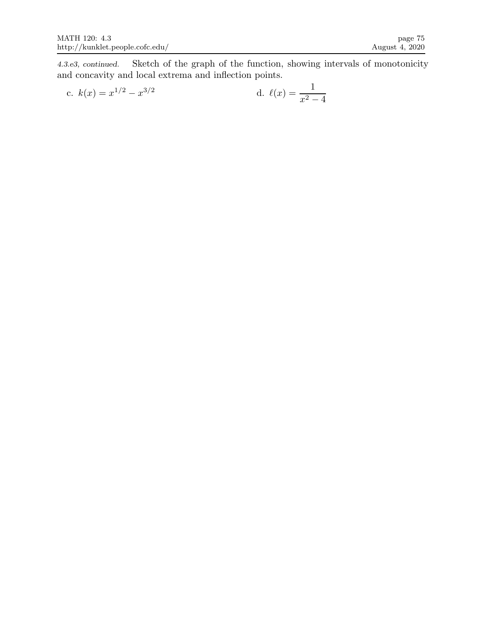4.3.e3, continued. Sketch of the graph of the function, showing intervals of monotonicity and concavity and local extrema and inflection points.

c. 
$$
k(x) = x^{1/2} - x^{3/2}
$$
 d.  $\ell(x) = \frac{1}{x^2 - 4}$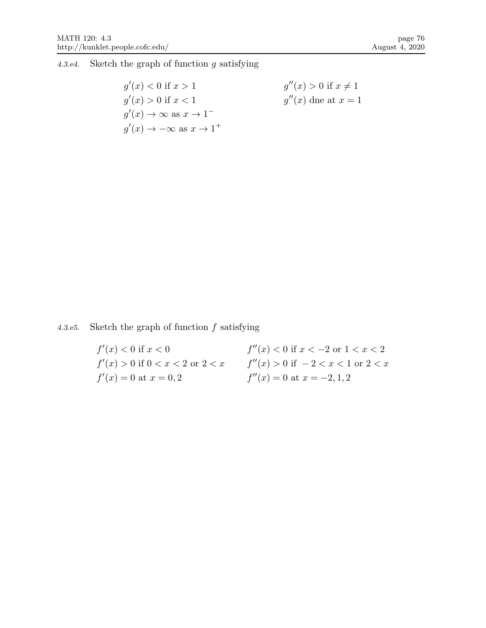4.3.e4. Sketch the graph of function g satisfying

 $g'(x) < 0$  if  $x > 1$  $g'(x) > 0$  if  $x < 1$  $g'(x) \to \infty \text{ as } x \to 1^$  $g'(x) \to -\infty \text{ as } x \to 1^+$  $g''(x) > 0$  if  $x \neq 1$  $g''(x)$  dne at  $x=1$ 

4.3.e5. Sketch the graph of function  $f$  satisfying

| $f'(x) < 0$ if $x < 0$                | $f''(x) < 0$ if $x < -2$ or $1 < x < 2$ |
|---------------------------------------|-----------------------------------------|
| $f'(x) > 0$ if $0 < x < 2$ or $2 < x$ | $f''(x) > 0$ if $-2 < x < 1$ or $2 < x$ |
| $f'(x) = 0$ at $x = 0, 2$             | $f''(x) = 0$ at $x = -2, 1, 2$          |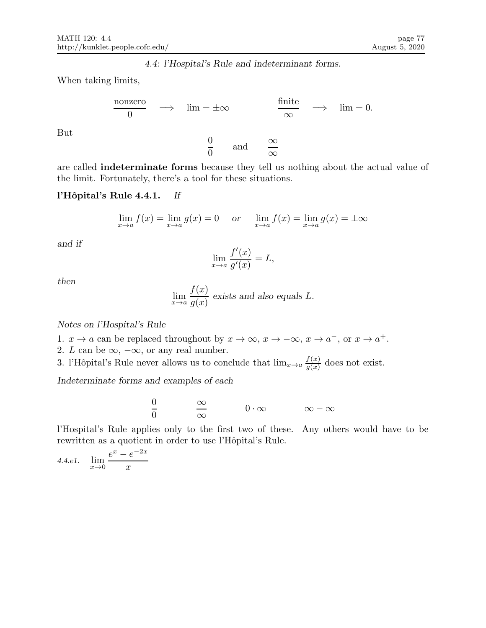4.4: l'Hospital's Rule and indeterminant forms.

When taking limits,

$$
\frac{\text{nonzero}}{0} \quad \Longrightarrow \quad \lim = \pm \infty \qquad \qquad \frac{\text{finite}}{\infty} \quad \Longrightarrow \quad \lim = 0.
$$

 $\overline{0}$  $\overline{0}$ 

But

are called indeterminate forms because they tell us nothing about the actual value of the limit. Fortunately, there's a tool for these situations.

and  $\infty$ 

∞

## l'Hôpital's Rule 4.4.1. If

$$
\lim_{x \to a} f(x) = \lim_{x \to a} g(x) = 0
$$
 or  $\lim_{x \to a} f(x) = \lim_{x \to a} g(x) = \pm \infty$ 

and if

$$
\lim_{x \to a} \frac{f'(x)}{g'(x)} = L,
$$

then

$$
\lim_{x \to a} \frac{f(x)}{g(x)}
$$
 exists and also equals L.

Notes on l'Hospital's Rule

- 1.  $x \to a$  can be replaced throughout by  $x \to \infty$ ,  $x \to -\infty$ ,  $x \to a^-$ , or  $x \to a^+$ .
- 2. L can be  $\infty$ ,  $-\infty$ , or any real number.

3. l'Hôpital's Rule never allows us to conclude that  $\lim_{x\to a} \frac{f(x)}{g(x)}$  $\frac{f(x)}{g(x)}$  does not exist.

Indeterminate forms and examples of each

$$
\frac{0}{0} \qquad \qquad \frac{\infty}{\infty} \qquad \qquad 0 \cdot \infty \qquad \qquad \infty - \infty
$$

l'Hospital's Rule applies only to the first two of these. Any others would have to be rewritten as a quotient in order to use l'Hôpital's Rule.

4.4.e1. 
$$
\lim_{x \to 0} \frac{e^x - e^{-2x}}{x}
$$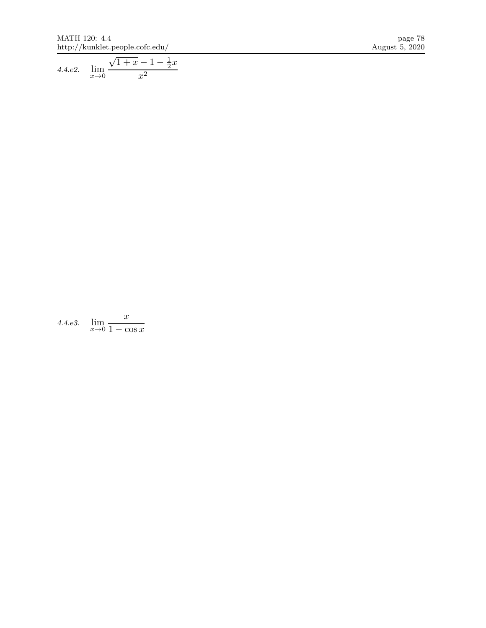$\begin{tabular}{c c c c} \text{MATH 120: 4.4} & \text{page 78} \\ \text{http://kunklet.people.cofc.edu/} & & & \text{August 5, 2020} \end{tabular}$ http://kunklet.people.cofc.edu/  $\,$ 

4.4.e2. 
$$
\lim_{x \to 0} \frac{\sqrt{1+x} - 1 - \frac{1}{2}x}{x^2}
$$

4.4.e3.  $\lim_{x\to 0}$  $\boldsymbol{x}$  $1 - \cos x$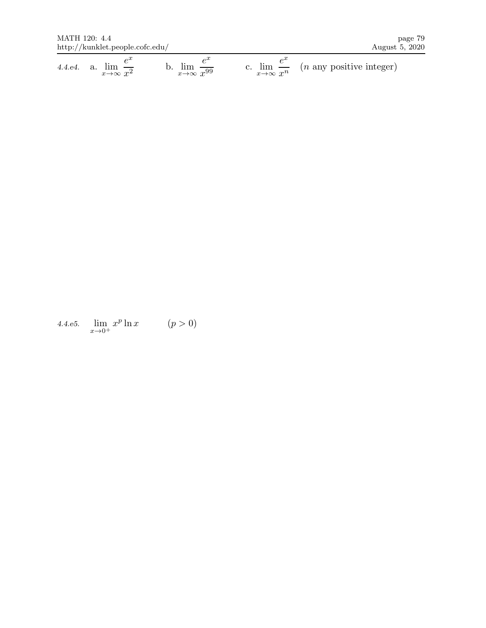$\begin{tabular}{c} \bf{MATH 120: \; 4.4} \end{tabular} \end{tabular} \begin{tabular}{c} \bf{page 79} \end{tabular} \end{tabular} \begin{tabular}{c} \bf{Page 79} \end{tabular} \end{tabular} \begin{tabular}{c} \bf{Page 79} \end{tabular}$ http://kunklet.people.cofc.edu/  $\,$ 

4.4.e4. a.  $\lim_{x \to \infty}$  $e^x$  $x^2$ b.  $\lim_{x\to\infty}$  $e^x$  $\boldsymbol{x}$  $\frac{1}{99}$  c.  $\lim_{x\to\infty}$  $e^x$  $x^n$  $(n$  any positive integer)

4.4.e5. lim  $x\rightarrow 0^+$  $x^p \ln x$   $(p > 0)$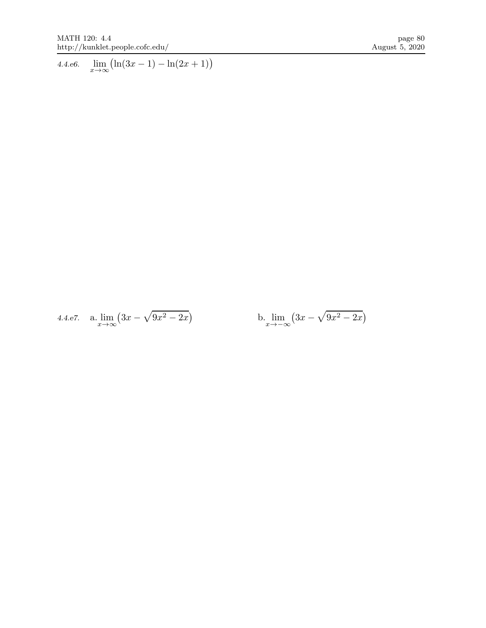4.4.e6.  $\lim_{x \to \infty} (\ln(3x - 1) - \ln(2x + 1))$ 

4.4.e7. a.  $\lim_{x \to \infty} (3x - \sqrt{9x^2 - 2x})$ b.  $\lim_{x \to -\infty} (3x - \sqrt{9x^2 - 2x})$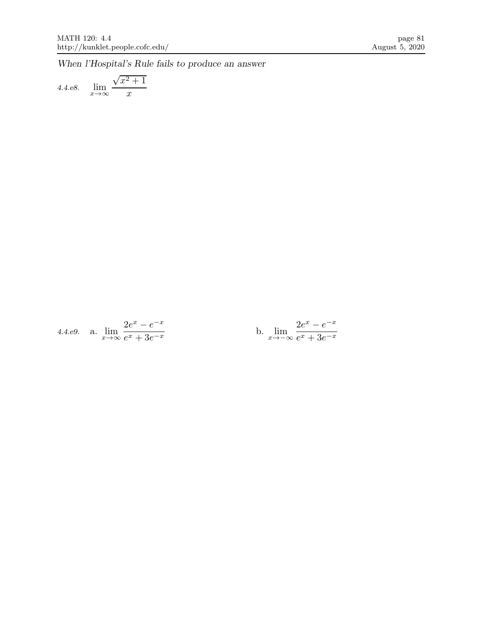When l'Hospital's Rule fails to produce an answer

4.4.e8. 
$$
\lim_{x \to \infty} \frac{\sqrt{x^2 + 1}}{x}
$$

4.4.e9. a. 
$$
\lim_{x \to \infty} \frac{2e^x - e^{-x}}{e^x + 3e^{-x}}
$$
 b.  $\lim_{x \to -\infty} \frac{2e^x - e^{-x}}{e^x + 3e^{-x}}$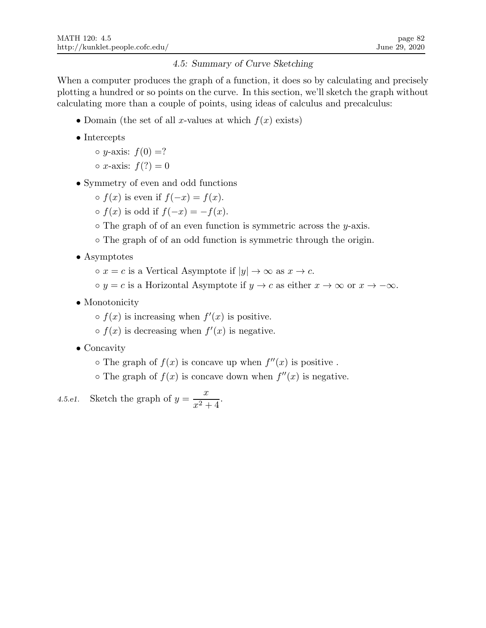# 4.5: Summary of Curve Sketching

When a computer produces the graph of a function, it does so by calculating and precisely plotting a hundred or so points on the curve. In this section, we'll sketch the graph without calculating more than a couple of points, using ideas of calculus and precalculus:

- Domain (the set of all x-values at which  $f(x)$  exists)
- Intercepts
	- $\circ$  y-axis:  $f(0) = ?$
	- $\circ x$ -axis:  $f(?) = 0$
- Symmetry of even and odd functions
	- $\circ$  f(x) is even if  $f(-x) = f(x)$ .
	- $\circ$  f(x) is odd if  $f(-x) = -f(x)$ .
	- $\circ$  The graph of of an even function is symmetric across the y-axis.
	- The graph of of an odd function is symmetric through the origin.
- Asymptotes
	- $\circ x = c$  is a Vertical Asymptote if  $|y| \to \infty$  as  $x \to c$ .
	- $\circ y = c$  is a Horizontal Asymptote if  $y \to c$  as either  $x \to \infty$  or  $x \to -\infty$ .
- Monotonicity
	- $\circ$   $f(x)$  is increasing when  $f'(x)$  is positive.
	- $\circ$   $f(x)$  is decreasing when  $f'(x)$  is negative.
- Concavity
	- $\circ$  The graph of  $f(x)$  is concave up when  $f''(x)$  is positive.
	- $\circ$  The graph of  $f(x)$  is concave down when  $f''(x)$  is negative.

4.5.e1. Sketch the graph of 
$$
y = \frac{x}{x^2 + 4}
$$
.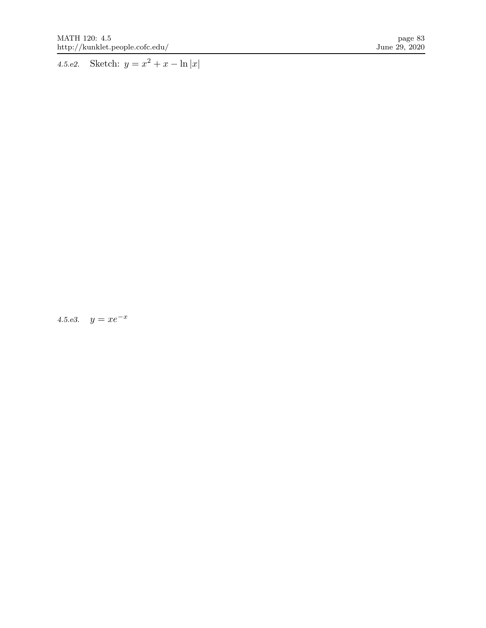4.5.e2. Sketch:  $y = x^2 + x - \ln|x|$ 

4.5.e3.  $y = xe^{-x}$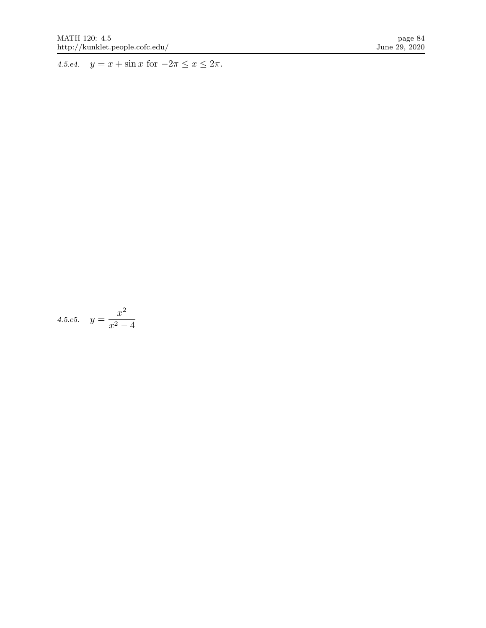4.5.e4.  $y = x + \sin x$  for  $-2\pi \le x \le 2\pi$ .

4.5.e5. 
$$
y = \frac{x^2}{x^2 - 4}
$$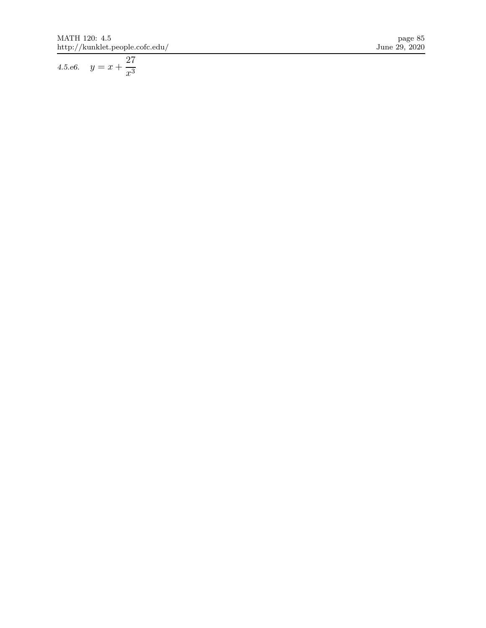4.5.e6.  $y = x +$ 27 $x^3$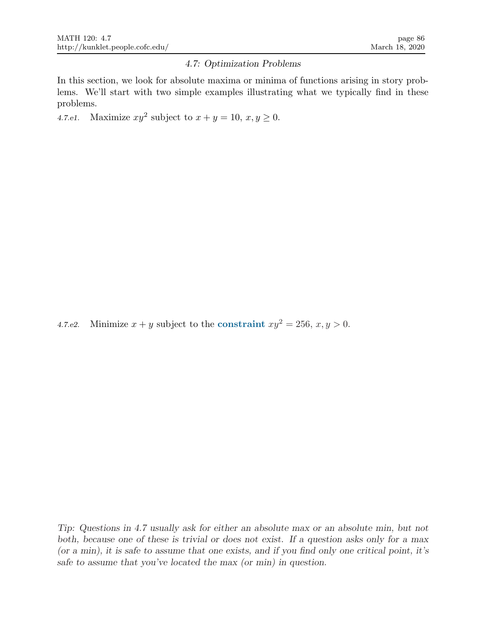#### 4.7: Optimization Problems

In this section, we look for absolute maxima or minima of functions arising in story problems. We'll start with two simple examples illustrating what we typically find in these problems.

4.7.e1. Maximize  $xy^2$  subject to  $x + y = 10$ ,  $x, y \ge 0$ .

4.7.e2. Minimize  $x + y$  subject to the constraint  $xy^2 = 256$ ,  $x, y > 0$ .

Tip: Questions in 4.7 usually ask for either an absolute max or an absolute min, but not both, because one of these is trivial or does not exist. If a question asks only for a max (or a min), it is safe to assume that one exists, and if you find only one critical point, it's safe to assume that you've located the max (or min) in question.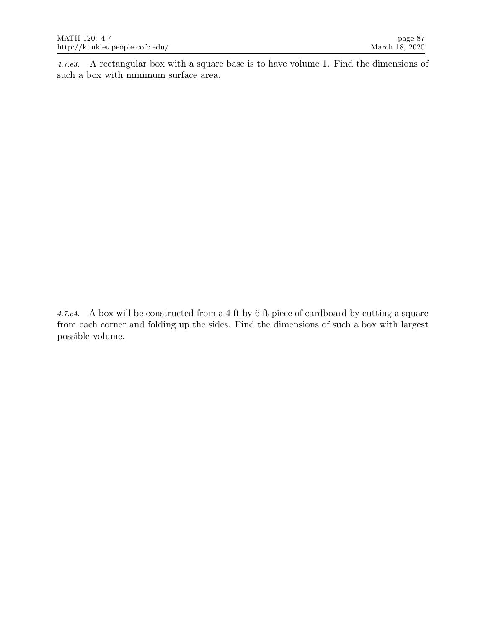4.7.e3. A rectangular box with a square base is to have volume 1. Find the dimensions of such a box with minimum surface area.

4.7.e4. A box will be constructed from a 4 ft by 6 ft piece of cardboard by cutting a square from each corner and folding up the sides. Find the dimensions of such a box with largest possible volume.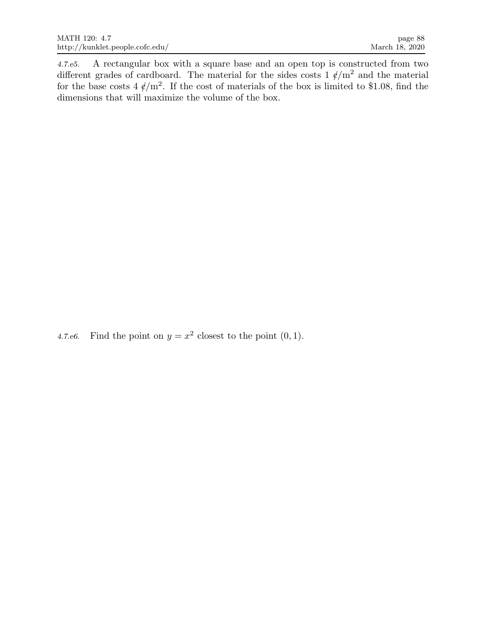4.7.e5. A rectangular box with a square base and an open top is constructed from two different grades of cardboard. The material for the sides costs  $1 \ell/m^2$  and the material for the base costs  $4 \frac{\ell}{m^2}$ . If the cost of materials of the box is limited to \$1.08, find the dimensions that will maximize the volume of the box.

4.7.e6. Find the point on  $y = x^2$  closest to the point  $(0, 1)$ .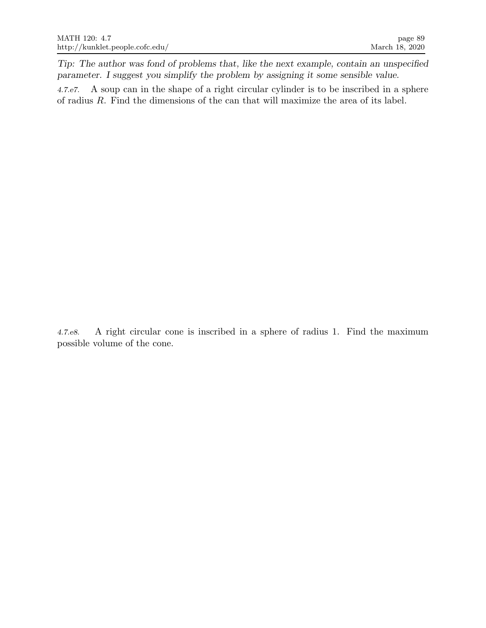Tip: The author was fond of problems that, like the next example, contain an unspecified parameter. I suggest you simplify the problem by assigning it some sensible value.

4.7.e7. A soup can in the shape of a right circular cylinder is to be inscribed in a sphere of radius R. Find the dimensions of the can that will maximize the area of its label.

4.7.e8. A right circular cone is inscribed in a sphere of radius 1. Find the maximum possible volume of the cone.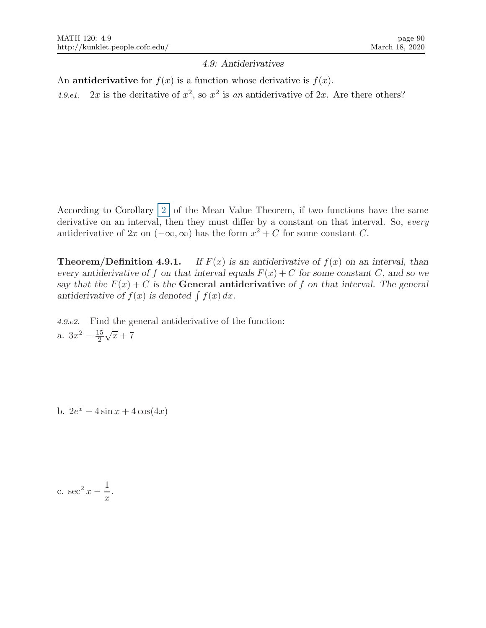## 4.9: Antiderivatives

An **antiderivative** for  $f(x)$  is a function whose derivative is  $f(x)$ . 4.9.e1. 2x is the deritative of  $x^2$ , so  $x^2$  is an antiderivative of 2x. Are there others?

According to Corollary  $\boxed{2}$  of the Mean Value Theorem, if two functions have the same derivative on an interval, then they must differ by a constant on that interval. So, every antiderivative of 2x on  $(-\infty, \infty)$  has the form  $x^2 + C$  for some constant C.

**Theorem/Definition 4.9.1.** If  $F(x)$  is an antiderivative of  $f(x)$  on an interval, than every antiderivative of f on that interval equals  $F(x) + C$  for some constant C, and so we say that the  $F(x) + C$  is the General antiderivative of f on that interval. The general antiderivative of  $f(x)$  is denoted  $\int f(x) dx$ .

4.9.e2. Find the general antiderivative of the function: a.  $3x^2 - \frac{15}{2}$ 2  $\sqrt{x}+7$ 

b.  $2e^x - 4\sin x + 4\cos(4x)$ 

c.  $\sec^2 x - \frac{1}{x}$  $\boldsymbol{x}$ .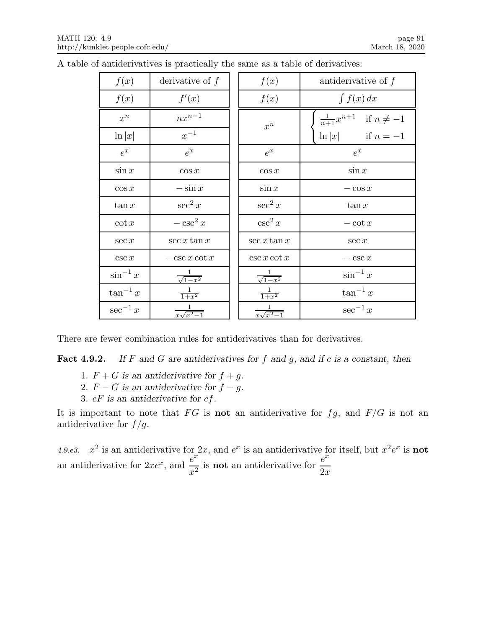| f(x)          | derivative of $f$        | f(x)                     | antiderivative of $f$                 |
|---------------|--------------------------|--------------------------|---------------------------------------|
| f(x)          | f'(x)                    | f(x)                     | $\int f(x) dx$                        |
| $x^n$         | $nx^{n-1}$               | $x^n$                    | $\frac{1}{n+1}x^{n+1}$ if $n \neq -1$ |
| $\ln  x $     | $x^{-1}$                 |                          | $\ln x $ if $n=-1$                    |
| $e^x$         | $e^x$                    | $e^x$                    | $e^x$                                 |
| $\sin x$      | $\cos x$                 | $\cos x$                 | $\sin x$                              |
| $\cos x$      | $-\sin x$                | $\sin x$                 | $-\cos x$                             |
| $\tan x$      | $\sec^2 x$               | $\sec^2 x$               | $\tan x$                              |
| $\cot x$      | $-\csc^2 x$              | $\csc^2 x$               | $-\cot x$                             |
| $\sec x$      | $\sec x \tan x$          | $\sec x \tan x$          | $\sec x$                              |
| csc x         | $-\csc x \cot x$         | $\csc x \cot x$          | $-\csc x$                             |
| $\sin^{-1} x$ | $\frac{1}{\sqrt{1-x^2}}$ | $\frac{1}{\sqrt{1-x^2}}$ | $\sin^{-1} x$                         |
| $\tan^{-1} x$ | $\frac{1}{1+x^2}$        | $\frac{1}{1+x^2}$        | $\tan^{-1} x$                         |
| $\sec^{-1} x$ | $x\sqrt{x^2-1}$          | $x\sqrt{x^2-1}$          | $\sec^{-1} x$                         |

A table of antiderivatives is practically the same as a table of derivatives:

There are fewer combination rules for antiderivatives than for derivatives.

**Fact 4.9.2.** If F and G are antiderivatives for f and g, and if c is a constant, then

- 1.  $F + G$  is an antiderivative for  $f + g$ .
- 2.  $F G$  is an antiderivative for  $f g$ .
- 3.  $cF$  is an antiderivative for  $cf$ .

It is important to note that  $FG$  is **not** an antiderivative for  $fg$ , and  $F/G$  is not an antiderivative for  $f/g$ .

4.9.e3.  $x^2$  is an antiderivative for 2x, and  $e^x$  is an antiderivative for itself, but  $x^2e^x$  is **not** an antiderivative for  $2xe^x$ , and  $\frac{e^x}{2}$  $\frac{e^x}{x^2}$  is **not** an antiderivative for  $\frac{e^x}{2x}$  $2x$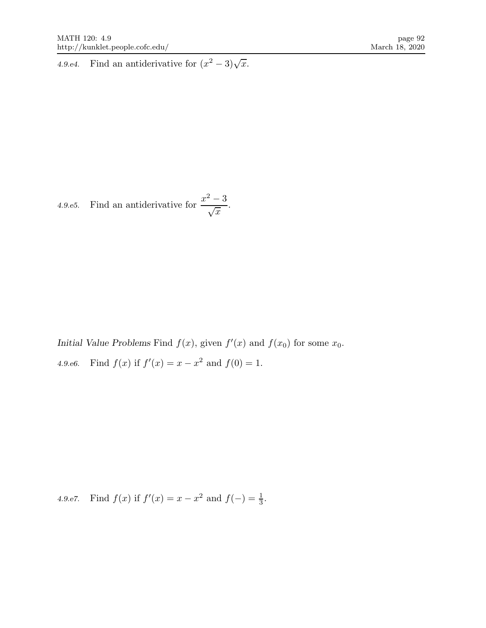4.9.e4. Find an antiderivative for  $(x^2 - 3)\sqrt{x}$ .

4.9.e5. Find an antiderivative for 
$$
\frac{x^2-3}{\sqrt{x}}
$$
.

Initial Value Problems Find  $f(x)$ , given  $f'(x)$  and  $f(x_0)$  for some  $x_0$ . 4.9.e6. Find  $f(x)$  if  $f'(x) = x - x^2$  and  $f(0) = 1$ .

4.9.e7. Find  $f(x)$  if  $f'(x) = x - x^2$  and  $f(-) = \frac{1}{3}$ .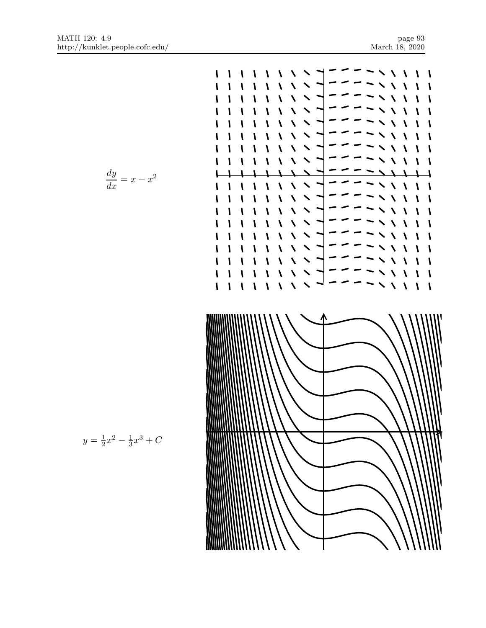$\frac{1}{2}$ 

 $\mathbf{I}$ 

 $\mathbf l$ 

 $\mathbf{I}$ 

 $\mathbf{I}$ 

 $\mathbf{I}$ 

 $\mathbf{I}$ 

 $\mathbf{I}$  $\mathbf{I}$ 

 $\mathbf{I}$ 

 $\mathbf{I}$ 

 $\mathbf{I}$ 

 $\mathbf{I}$ 

 $\mathbf{I}$ 

V

 $\mathbf{I}$ V

 $\overline{\phantom{0}}$ 

 $\mathbf I$  $\mathbf{I}$ 

V

 $\mathbf{I}$ 

 $\mathbf{V}$ 

1  $\mathbf{I}$ 

V A

V

١

V

V V

V V

 $\blacktriangle$  $\boldsymbol{\prime}$  $\mathbf{I}$ 

 $\sim$   $\sqrt{ }$ 

$$
\frac{dy}{dx} = x - x^2
$$

 $\mathbf l$ 

I

I I

I

 $\mathbf l$ 

 $\mathbf l$ 

 $\mathbf l$ 

I

١

١

١

I

 $\mathbf{I}$ 

 $\mathbf l$ 

١

١  $\mathbf{I}$ ١

 $\mathbf{I}$  $\mathbf{I}$  $\mathbf{I}$ 

 $\mathbf l$  $\mathbf l$ I  $\boldsymbol{\mathsf{I}}$ 

 $\mathbf l$ 

I

١

 $\mathbf{I}$ 

 $\mathbf{I}$  $\mathbf{I}$  $\overline{\mathbf{I}}$  $\overline{\mathbf{V}}$  $\overline{\mathbf{v}}$  $\blacktriangle$ 

 $\mathbf{I}$ 

 $\mathbf{I}$ ١

 $\mathbf{I}$  $\mathbf{I}$ 

 $\mathbf l$  $\mathbf{I}$ 

 $\mathbf l$  $\mathbf{I}$ 

 $\mathbf l$  $\mathbf l$ 

 $\mathbf{I}$  $\mathbf{I}$ 

 $\mathbf l$ 

 $\mathbf l$ 

 $\boldsymbol{\mathcal{N}}$  $\boldsymbol{\lambda}$ 

 $\overline{\mathbf{V}}$  $\overline{\mathbf{X}}$ 

 $\lambda$  $\overline{\mathbf{v}}$ 

 $\lambda$ 

 $\overline{\mathbf{A}}$  $\overline{\mathbf{A}}$  $\blacktriangle$ 

 $\boldsymbol{\lambda}$  $\boldsymbol{\lambda}$ 

 $\lambda$  $\lambda$ 

 $\overline{\mathbf{V}}$  $\overline{\mathbf{X}}$ 

 $\lambda$  $\overline{\phantom{0}}$  $\sum_{i=1}^{n}$ 

 $\overline{\mathbf{A}}$ 

 $\sum$ 

 $\lambda$ 

 $\overline{\phantom{0}}$ 

 $\overline{\phantom{0}}$ 

١  $\overline{\mathbf{I}}$  $\overline{\phantom{0}}$ 

 $\mathbf{I}$  $\lambda$  $\boldsymbol{\lambda}$  $\blacktriangle$ 

 $\mathbf{I}$ 

 $\mathbf{I}$ 

 $\mathbf{I}$  $\overline{\mathbf{V}}$  $\boldsymbol{\lambda}$ 

 $\mathbf{I}$ 

I

 $\boldsymbol{\mathsf{I}}$ 

 $\mathbf{I}$ ١

١

 $\mathbf{I}$  $\lambda$  $\lambda$ 

 $\mathbf{I}$ 

 $\mathbf{I}$  $\lambda$  $\lambda$  $\overline{\phantom{0}}$ 

 $\sqrt{ }$ 

$$
y = \frac{1}{2}x^2 - \frac{1}{3}x^3 + C
$$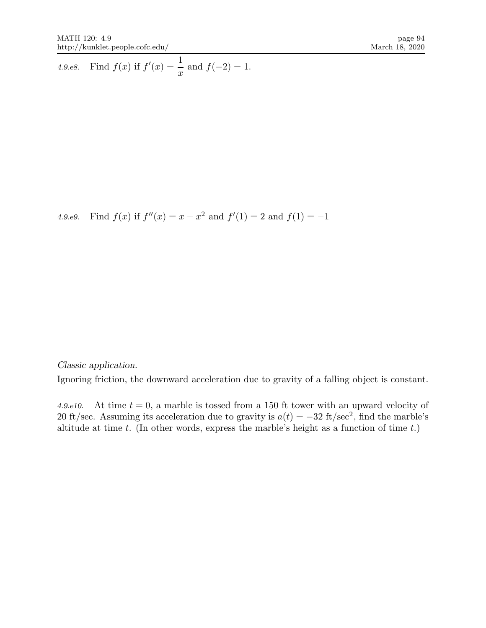4.9.e8. Find  $f(x)$  if  $f'(x) = \frac{1}{x}$  $\frac{1}{x}$  and  $f(-2) = 1$ .

4.9.e9. Find  $f(x)$  if  $f''(x) = x - x^2$  and  $f'(1) = 2$  and  $f(1) = -1$ 

Classic application.

Ignoring friction, the downward acceleration due to gravity of a falling object is constant.

4.9.e10. At time  $t = 0$ , a marble is tossed from a 150 ft tower with an upward velocity of 20 ft/sec. Assuming its acceleration due to gravity is  $a(t) = -32$  ft/sec<sup>2</sup>, find the marble's altitude at time t. (In other words, express the marble's height as a function of time  $t$ .)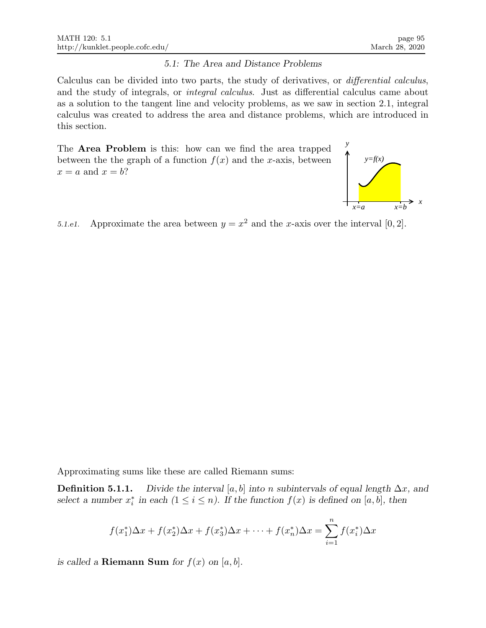### 5.1: The Area and Distance Problems

Calculus can be divided into two parts, the study of derivatives, or differential calculus, and the study of integrals, or integral calculus. Just as differential calculus came about as a solution to the tangent line and velocity problems, as we saw in section 2.1, integral calculus was created to address the area and distance problems, which are introduced in this section.

The Area Problem is this: how can we find the area trapped between the the graph of a function  $f(x)$  and the x-axis, between  $x = a$  and  $x = b$ ?



5.1.e1. Approximate the area between  $y = x^2$  and the x-axis over the interval [0, 2].

Approximating sums like these are called Riemann sums:

**Definition 5.1.1.** Divide the interval [a, b] into n subintervals of equal length  $\Delta x$ , and select a number  $x_i^*$  in each  $(1 \le i \le n)$ . If the function  $f(x)$  is defined on [a, b], then

$$
f(x_1^*)\Delta x + f(x_2^*)\Delta x + f(x_3^*)\Delta x + \dots + f(x_n^*)\Delta x = \sum_{i=1}^n f(x_i^*)\Delta x
$$

is called a **Riemann Sum** for  $f(x)$  on  $[a, b]$ .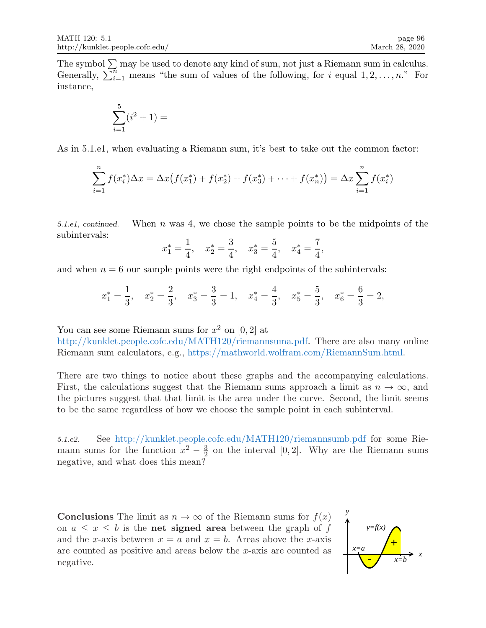The symbol  $\Sigma$  may be used to denote any kind of sum, not just a Riemann sum in calculus. Generally,  $\sum_{i=1}^{n}$  means "the sum of values of the following, for i equal  $1, 2, \ldots, n$ ." For instance,

$$
\sum_{i=1}^{5} (i^2 + 1) =
$$

As in 5.1.e1, when evaluating a Riemann sum, it's best to take out the common factor:

$$
\sum_{i=1}^{n} f(x_i^*) \Delta x = \Delta x \big( f(x_1^*) + f(x_2^*) + f(x_3^*) + \dots + f(x_n^*) \big) = \Delta x \sum_{i=1}^{n} f(x_i^*)
$$

5.1.e1, continued. When n was 4, we chose the sample points to be the midpoints of the subintervals:

$$
x_1^* = \frac{1}{4}
$$
,  $x_2^* = \frac{3}{4}$ ,  $x_3^* = \frac{5}{4}$ ,  $x_4^* = \frac{7}{4}$ ,

and when  $n = 6$  our sample points were the right endpoints of the subintervals:

$$
x_1^* = \frac{1}{3}
$$
,  $x_2^* = \frac{2}{3}$ ,  $x_3^* = \frac{3}{3} = 1$ ,  $x_4^* = \frac{4}{3}$ ,  $x_5^* = \frac{5}{3}$ ,  $x_6^* = \frac{6}{3} = 2$ ,

You can see some Riemann sums for  $x^2$  on  $[0,2]$  at

http://kunklet.people.cofc.edu/MATH120/riemannsuma.pdf. There are also many online Riemann sum calculators, e.g., https://mathworld.wolfram.com/RiemannSum.html.

There are two things to notice about these graphs and the accompanying calculations. First, the calculations suggest that the Riemann sums approach a limit as  $n \to \infty$ , and the pictures suggest that that limit is the area under the curve. Second, the limit seems to be the same regardless of how we choose the sample point in each subinterval.

5.1.e2. See http://kunklet.people.cofc.edu/MATH120/riemannsumb.pdf for some Riemann sums for the function  $x^2 - \frac{3}{2}$  $\frac{3}{2}$  on the interval [0, 2]. Why are the Riemann sums negative, and what does this mean?

**Conclusions** The limit as  $n \to \infty$  of the Riemann sums for  $f(x)$ on  $a \leq x \leq b$  is the **net signed area** between the graph of f and the x-axis between  $x = a$  and  $x = b$ . Areas above the x-axis are counted as positive and areas below the x-axis are counted as negative.

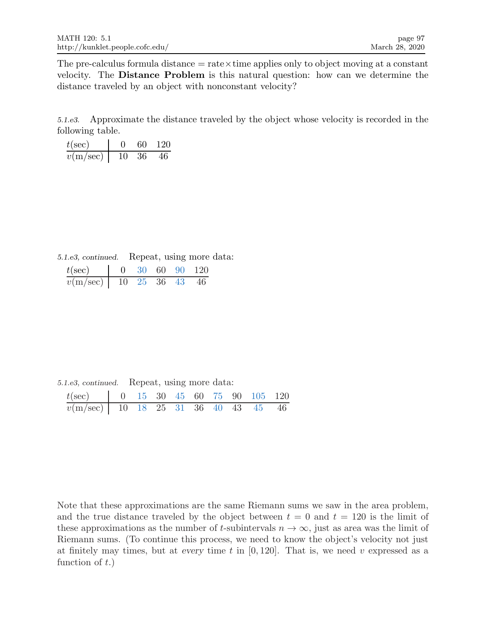The pre-calculus formula distance  $=$  rate $\times$ time applies only to object moving at a constant velocity. The Distance Problem is this natural question: how can we determine the distance traveled by an object with nonconstant velocity?

5.1.e3. Approximate the distance traveled by the object whose velocity is recorded in the following table.

| $t(\sec)$ |    | 60     | -120 |
|-----------|----|--------|------|
| v(m/sec)  | 10 | - 36 - | 46   |

5.1.e3, continued. Repeat, using more data:

| $t(\rm sec)$                |  |  | 0 30 60 90 120 |
|-----------------------------|--|--|----------------|
| $v(m/sec)$   10 25 36 43 46 |  |  |                |

5.1.e3, continued. Repeat, using more data:

| $t(\text{sec})$   0 15 30 45 60 75 90 105 120 |  |  |  |  |  |
|-----------------------------------------------|--|--|--|--|--|
| $v(m/sec)$ 10 18 25 31 36 40 43 45 46         |  |  |  |  |  |

Note that these approximations are the same Riemann sums we saw in the area problem, and the true distance traveled by the object between  $t = 0$  and  $t = 120$  is the limit of these approximations as the number of t-subintervals  $n \to \infty$ , just as area was the limit of Riemann sums. (To continue this process, we need to know the object's velocity not just at finitely may times, but at every time t in  $[0, 120]$ . That is, we need v expressed as a function of  $t$ .)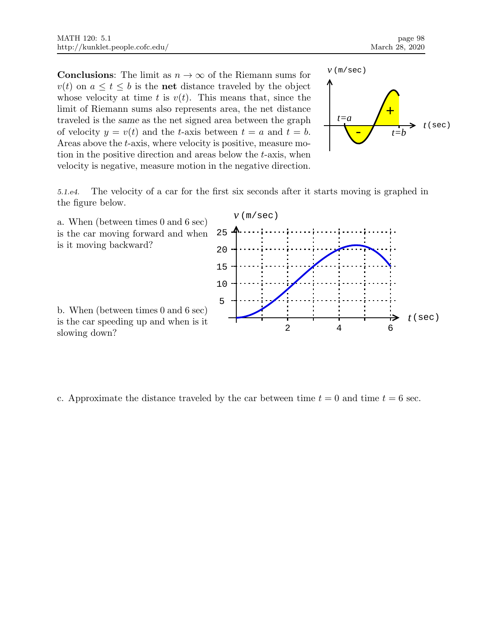**Conclusions:** The limit as  $n \to \infty$  of the Riemann sums for  $v(t)$  on  $a \leq t \leq b$  is the **net** distance traveled by the object whose velocity at time t is  $v(t)$ . This means that, since the limit of Riemann sums also represents area, the net distance traveled is the same as the net signed area between the graph of velocity  $y = v(t)$  and the t-axis between  $t = a$  and  $t = b$ . Areas above the t-axis, where velocity is positive, measure motion in the positive direction and areas below the t-axis, when velocity is negative, measure motion in the negative direction.



5.1.e4. The velocity of a car for the first six seconds after it starts moving is graphed in the figure below.



c. Approximate the distance traveled by the car between time  $t = 0$  and time  $t = 6$  sec.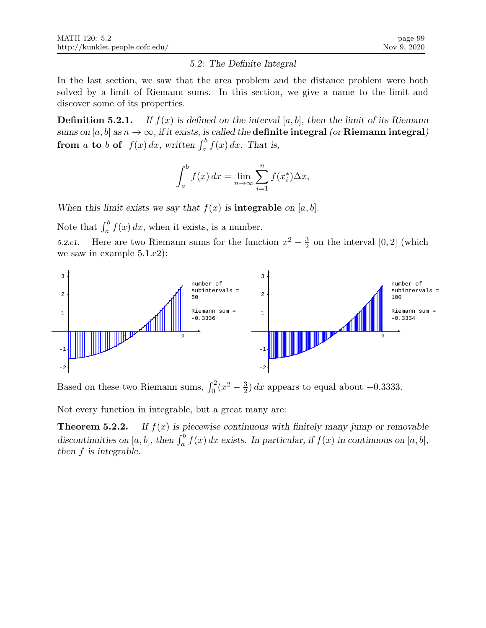## 5.2: The Definite Integral

In the last section, we saw that the area problem and the distance problem were both solved by a limit of Riemann sums. In this section, we give a name to the limit and discover some of its properties.

**Definition 5.2.1.** If  $f(x)$  is defined on the interval [a, b], then the limit of its Riemann sums on [a, b] as  $n \to \infty$ , if it exists, is called the **definite integral** (or **Riemann integral**) from a to b of  $f(x) dx$ , written  $\int_a^b f(x) dx$ . That is,

$$
\int_{a}^{b} f(x) dx = \lim_{n \to \infty} \sum_{i=1}^{n} f(x_i^*) \Delta x,
$$

When this limit exists we say that  $f(x)$  is **integrable** on [a, b].

Note that  $\int_a^b f(x) dx$ , when it exists, is a number.

5.2.e1. Here are two Riemann sums for the function  $x^2 - \frac{3}{2}$  $\frac{3}{2}$  on the interval [0, 2] (which we saw in example 5.1.e2):



Based on these two Riemann sums,  $\int_0^2 (x^2 - \frac{3}{2})$  $\frac{3}{2}$ ) dx appears to equal about -0.3333.

Not every function in integrable, but a great many are:

**Theorem 5.2.2.** If  $f(x)$  is piecewise continuous with finitely many jump or removable discontinuities on [a, b], then  $\int_a^b f(x) dx$  exists. In particular, if  $f(x)$  in continuous on [a, b], then f is integrable.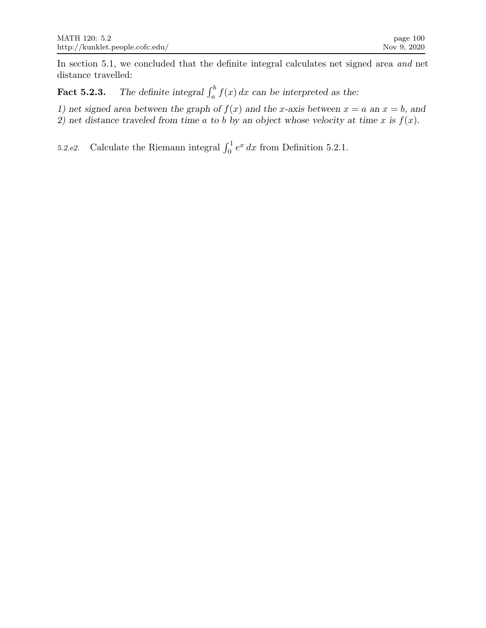In section 5.1, we concluded that the definite integral calculates net signed area and net distance travelled:

**Fact 5.2.3.** The definite integral  $\int_a^b f(x) dx$  can be interpreted as the:

1) net signed area between the graph of  $f(x)$  and the x-axis between  $x = a$  an  $x = b$ , and 2) net distance traveled from time a to b by an object whose velocity at time x is  $f(x)$ .

5.2.e2. Calculate the Riemann integral  $\int_0^1 e^x dx$  from Definition 5.2.1.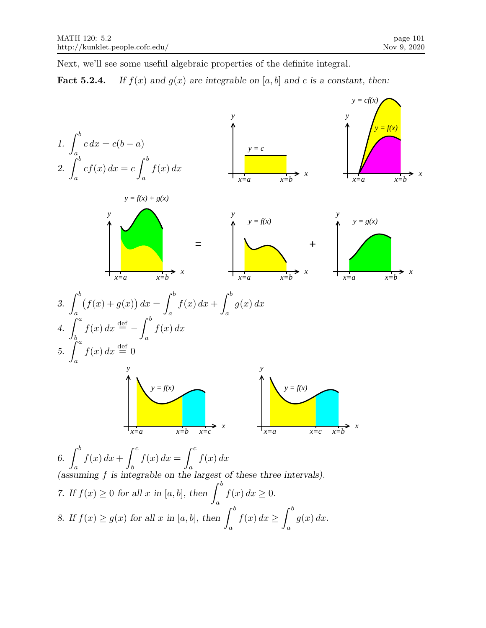Next, we'll see some useful algebraic properties of the definite integral.

# **Fact 5.2.4.** If  $f(x)$  and  $g(x)$  are integrable on [a, b] and c is a constant, then:

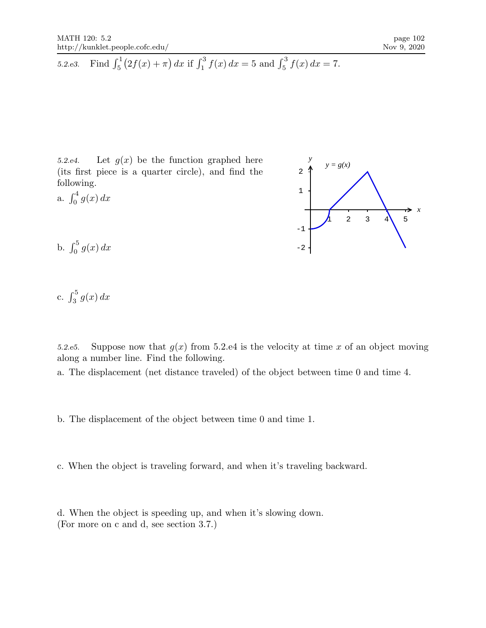5.2.e3. Find 
$$
\int_5^1 (2f(x) + \pi) dx
$$
 if  $\int_1^3 f(x) dx = 5$  and  $\int_5^3 f(x) dx = 7$ .

5.2.e4. Let  $g(x)$  be the function graphed here  $y = g(x)$ (its first piece is a quarter circle), and find the following.

a.  $\int_0^4 g(x) dx$ 



b.  $\int_0^5 g(x) dx$ 

c.  $\int_3^5 g(x) dx$ 

5.2.e5. Suppose now that  $g(x)$  from 5.2.e4 is the velocity at time x of an object moving along a number line. Find the following.

a. The displacement (net distance traveled) of the object between time 0 and time 4.

b. The displacement of the object between time 0 and time 1.

c. When the object is traveling forward, and when it's traveling backward.

d. When the object is speeding up, and when it's slowing down. (For more on c and d, see section 3.7.)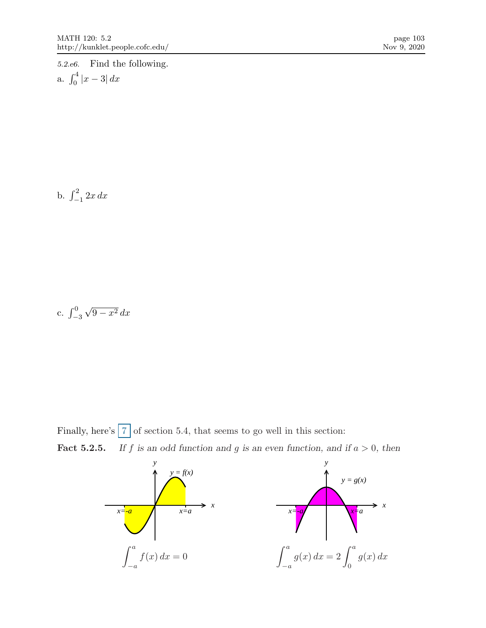5.2.e6. Find the following.

a. 
$$
\int_0^4 |x-3| \, dx
$$

b.  $\int_{-1}^{2} 2x \, dx$ 

c. 
$$
\int_{-3}^{0} \sqrt{9 - x^2} \, dx
$$

Finally, here's  $7$  of section 5.4, that seems to go well in this section: **Fact 5.2.5.** If f is an odd function and g is an even function, and if  $a > 0$ , then

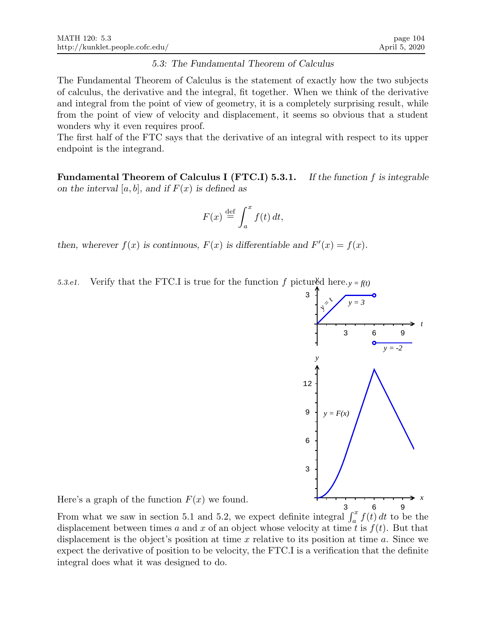### 5.3: The Fundamental Theorem of Calculus

The Fundamental Theorem of Calculus is the statement of exactly how the two subjects of calculus, the derivative and the integral, fit together. When we think of the derivative and integral from the point of view of geometry, it is a completely surprising result, while from the point of view of velocity and displacement, it seems so obvious that a student wonders why it even requires proof.

The first half of the FTC says that the derivative of an integral with respect to its upper endpoint is the integrand.

**Fundamental Theorem of Calculus I (FTC.I) 5.3.1.** If the function f is integrable on the interval [a, b], and if  $F(x)$  is defined as

$$
F(x) \stackrel{\text{def}}{=} \int_a^x f(t) \, dt,
$$

then, wherever  $f(x)$  is continuous,  $F(x)$  is differentiable and  $F'(x) = f(x)$ .

5.3.e1. Verify that the FTC.I is true for the function f pictured here.  $y = f(t)$ 



Here's a graph of the function  $F(x)$  we found.

From what we saw in section 5.1 and 5.2, we expect definite integral  $\int_a^x f(t) dt$  to be the displacement between times a and x of an object whose velocity at time t is  $f(t)$ . But that displacement is the object's position at time x relative to its position at time a. Since we expect the derivative of position to be velocity, the FTC.I is a verification that the definite integral does what it was designed to do.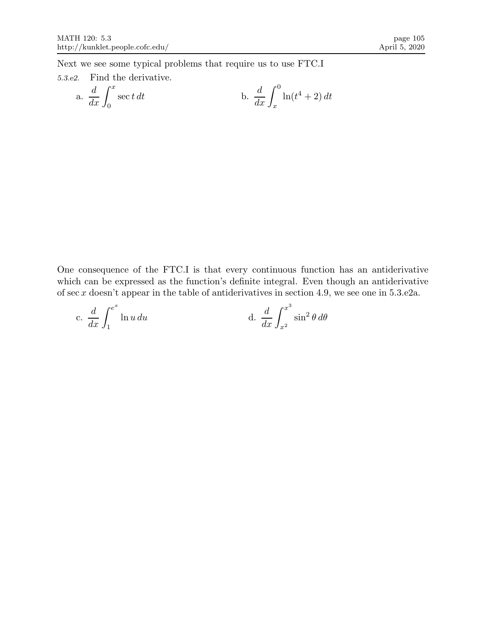Next we see some typical problems that require us to use FTC.I

# 5.3.e2. Find the derivative.

a. 
$$
\frac{d}{dx} \int_0^x \sec t \, dt
$$
 b.  $\frac{d}{dx} \int_x^0 \ln(t^4 + 2) \, dt$ 

One consequence of the FTC.I is that every continuous function has an antiderivative which can be expressed as the function's definite integral. Even though an antiderivative of sec  $x$  doesn't appear in the table of antiderivatives in section 4.9, we see one in 5.3.e2a.

c. 
$$
\frac{d}{dx} \int_{1}^{e^x} \ln u \, du
$$
 d.  $\frac{d}{dx} \int_{x^2}^{x^3} \sin^2 \theta \, d\theta$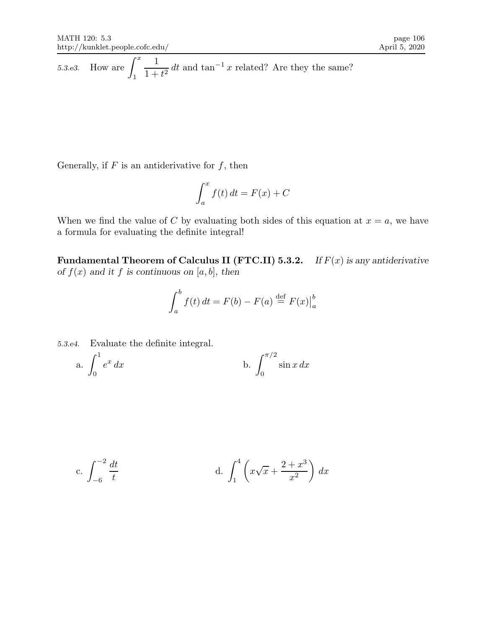5.3.e3. How are 
$$
\int_1^x \frac{1}{1+t^2} dt
$$
 and  $\tan^{-1} x$  related? Are they the same?

Generally, if  $F$  is an antiderivative for  $f$ , then

$$
\int_{a}^{x} f(t) dt = F(x) + C
$$

When we find the value of C by evaluating both sides of this equation at  $x = a$ , we have a formula for evaluating the definite integral!

**Fundamental Theorem of Calculus II (FTC.II) 5.3.2.** If  $F(x)$  is any antiderivative of  $f(x)$  and it f is continuous on [a, b], then

$$
\int_{a}^{b} f(t) dt = F(b) - F(a) \stackrel{\text{def}}{=} F(x) \Big|_{a}^{b}
$$

5.3.e4. Evaluate the definite integral.

a. 
$$
\int_0^1 e^x dx
$$
 b.  $\int_0^{\pi/2} \sin x dx$ 

c. 
$$
\int_{-6}^{-2} \frac{dt}{t}
$$
 d.  $\int_{1}^{4} \left( x\sqrt{x} + \frac{2+x^3}{x^2} \right) dx$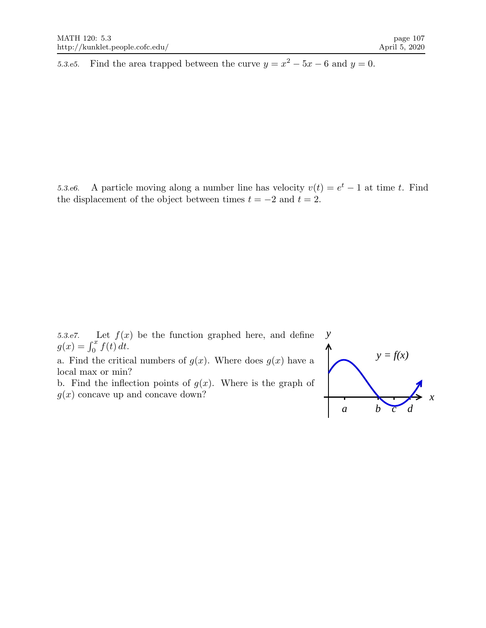5.3.e5. Find the area trapped between the curve  $y = x^2 - 5x - 6$  and  $y = 0$ .

5.3.e6. A particle moving along a number line has velocity  $v(t) = e^t - 1$  at time t. Find the displacement of the object between times  $t = -2$  and  $t = 2$ .

5.3.e7. Let  $f(x)$  be the function graphed here, and define  $g(x) = \int_0^x f(t) dt$ .

a. Find the critical numbers of  $g(x)$ . Where does  $g(x)$  have a local max or min?

b. Find the inflection points of  $g(x)$ . Where is the graph of  $g(x)$  concave up and concave down?

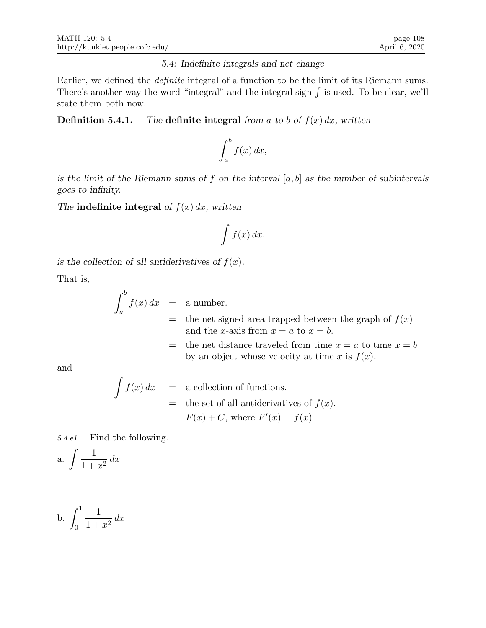## 5.4: Indefinite integrals and net change

Earlier, we defined the definite integral of a function to be the limit of its Riemann sums. There's another way the word "integral" and the integral sign  $\int$  is used. To be clear, we'll state them both now.

# **Definition 5.4.1.** The definite integral from a to b of  $f(x) dx$ , written

$$
\int_a^b f(x) \, dx,
$$

is the limit of the Riemann sums of f on the interval  $[a, b]$  as the number of subintervals goes to infinity.

The indefinite integral of  $f(x) dx$ , written

$$
\int f(x) \, dx,
$$

is the collection of all antiderivatives of  $f(x)$ .

That is,

$$
\int_{a}^{b} f(x) dx = a number.
$$
  
= the net signed area trapped between the graph of  $f(x)$   
and the *x*-axis from  $x = a$  to  $x = b$ .  
= the net distance traveled from time  $x = a$  to time  $x = b$   
by an object whose velocity at time *x* is  $f(x)$ .

and

$$
\int f(x) dx = \text{a collection of functions.}
$$
  
= the set of all antiderivatives of  $f(x)$ .  
=  $F(x) + C$ , where  $F'(x) = f(x)$ 

5.4.e1. Find the following.

a. 
$$
\int \frac{1}{1+x^2} \, dx
$$

b. 
$$
\int_0^1 \frac{1}{1+x^2} \, dx
$$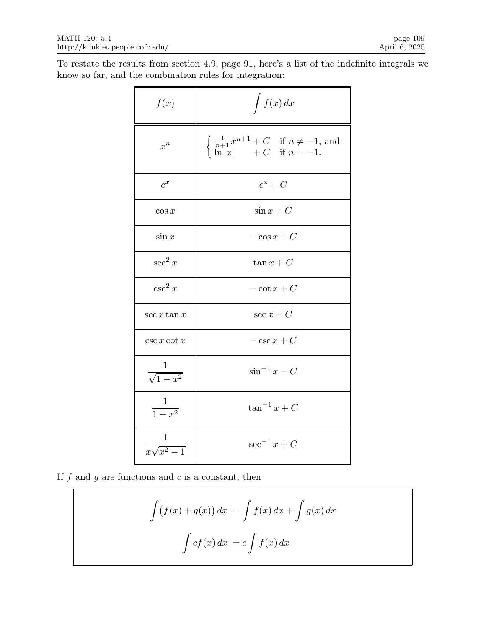To restate the results from section 4.9, page 91, here's a list of the indefinite integrals we know so far, and the combination rules for integration:

| f(x)                      | $\int f(x) dx$                                                                                                               |
|---------------------------|------------------------------------------------------------------------------------------------------------------------------|
| $x^n$                     | $\begin{cases} \frac{1}{n+1}x^{n+1} + C & \text{if } n \neq -1, \text{ and} \\ \ln x  & +C & \text{if } n = -1. \end{cases}$ |
| $e^x$                     | $e^x + C$                                                                                                                    |
| $\cos x$                  | $\sin x + C$                                                                                                                 |
| $\sin x$                  | $-\cos x + C$                                                                                                                |
| $\sec^2 x$                | $\tan x + C$                                                                                                                 |
| $\csc^2 x$                | $-\cot x + C$                                                                                                                |
| $\sec x \tan x$           | $\sec x + C$                                                                                                                 |
| $\csc x \cot x$           | $-\csc x + C$                                                                                                                |
| $\frac{1}{\sqrt{1-x^2}}$  | $\sin^{-1} x + C$                                                                                                            |
| $\frac{1}{1+x^2}$         | $\tan^{-1} x + C$                                                                                                            |
| $\frac{1}{x\sqrt{x^2-1}}$ | $\sec^{-1} x + C$                                                                                                            |

If  $f$  and  $g$  are functions and  $c$  is a constant, then

$$
\int (f(x) + g(x)) dx = \int f(x) dx + \int g(x) dx
$$

$$
\int cf(x) dx = c \int f(x) dx
$$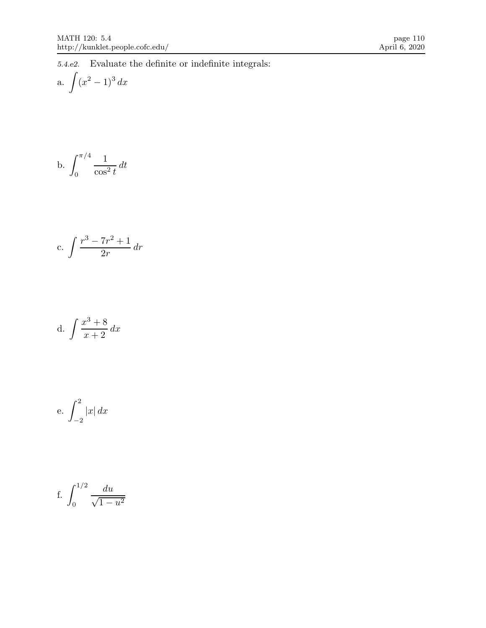5.4.e2. Evaluate the definite or indefinite integrals:

a. 
$$
\int (x^2 - 1)^3 dx
$$

b. 
$$
\int_0^{\pi/4} \frac{1}{\cos^2 t} dt
$$

c. 
$$
\int \frac{r^3 - 7r^2 + 1}{2r} dr
$$

d. 
$$
\int \frac{x^3 + 8}{x + 2} dx
$$

e. 
$$
\int_{-2}^{2} |x| dx
$$

f. 
$$
\int_0^{1/2} \frac{du}{\sqrt{1 - u^2}}
$$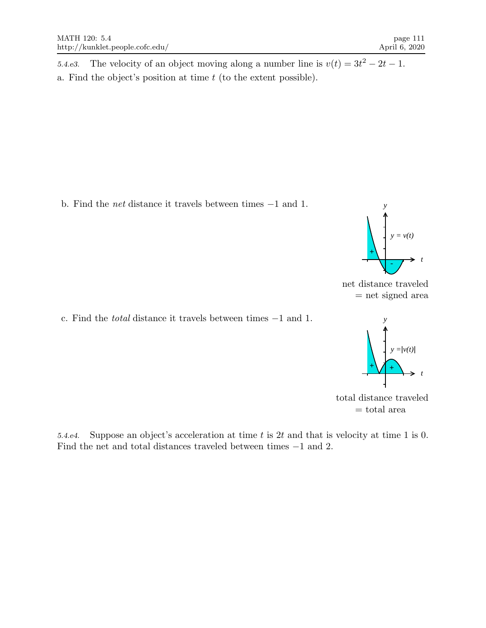5.4.e3. The velocity of an object moving along a number line is  $v(t) = 3t^2 - 2t - 1$ . a. Find the object's position at time  $t$  (to the extent possible).

b. Find the net distance it travels between times −1 and 1.



net distance traveled = net signed area

c. Find the total distance it travels between times −1 and 1.





5.4.e4. Suppose an object's acceleration at time t is 2t and that is velocity at time 1 is 0. Find the net and total distances traveled between times −1 and 2.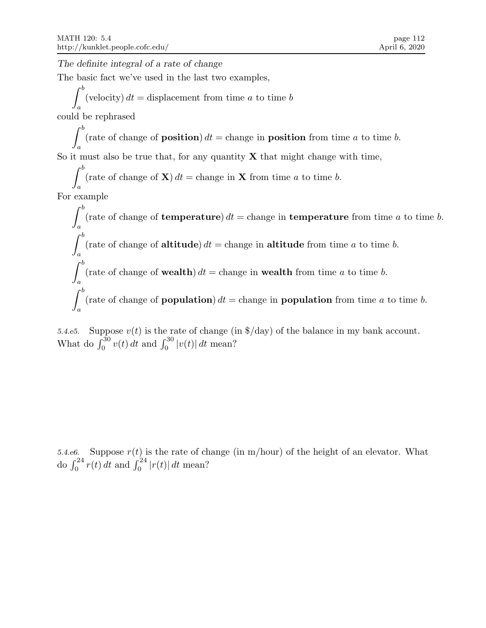The definite integral of a rate of change

The basic fact we've used in the last two examples,

 $\int^b$ (velocity)  $dt =$  displacement from time a to time b

a could be rephrased

> $\int^b$ (rate of change of **position**)  $dt =$  change in **position** from time a to time b.

a So it must also be true that, for any quantity  $X$  that might change with time,

 $\int^b$ (rate of change of  $X$ )  $dt =$  change in X from time a to time b.

a For example

> $\int^b$ a (rate of change of **temperature**)  $dt =$  change in **temperature** from time a to time b.  $\int^b$ a (rate of change of **altitude**)  $dt =$  change in **altitude** from time a to time b.  $\int^b$ a (rate of change of wealth)  $dt =$  change in wealth from time a to time b.  $\int^b$ a (rate of change of **population**)  $dt =$  change in **population** from time a to time b.

5.4.e5. Suppose  $v(t)$  is the rate of change (in \$/day) of the balance in my bank account. What do  $\int_0^{30} v(t) dt$  and  $\int_0^{30} |v(t)| dt$  mean?

5.4.e6. Suppose  $r(t)$  is the rate of change (in m/hour) of the height of an elevator. What do  $\int_0^{24} r(t) dt$  and  $\int_0^{24} |r(t)| dt$  mean?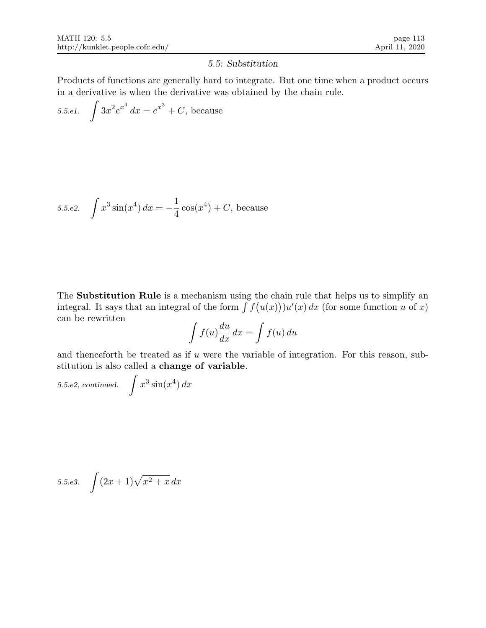## 5.5: Substitution

Products of functions are generally hard to integrate. But one time when a product occurs in a derivative is when the derivative was obtained by the chain rule.

5.5.e1.  $\int 3x^2 e^{x^3} dx = e^{x^3} + C$ , because

5.5.e2. 
$$
\int x^3 \sin(x^4) dx = -\frac{1}{4} \cos(x^4) + C
$$
, because

The Substitution Rule is a mechanism using the chain rule that helps us to simplify an integral. It says that an integral of the form  $\int f(u(x))\psi(x) dx$  (for some function u of x) can be rewritten

$$
\int f(u) \frac{du}{dx} dx = \int f(u) du
$$

and thenceforth be treated as if  $u$  were the variable of integration. For this reason, substitution is also called a change of variable.

5.5.e2, continued.  $\int x^3 \sin(x^4) dx$ 

5.5.e3. 
$$
\int (2x+1)\sqrt{x^2+x} \, dx
$$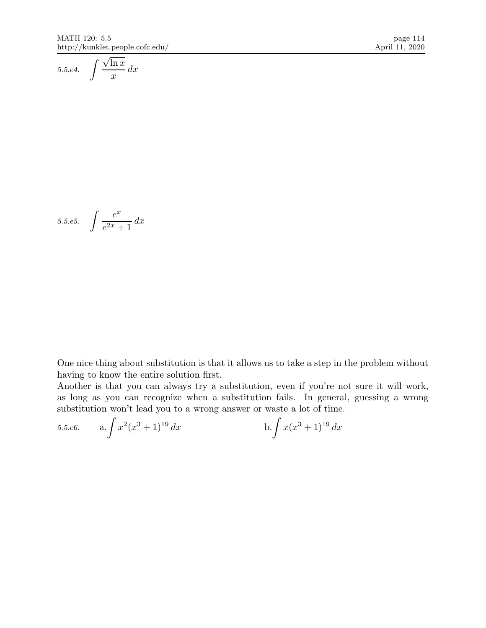$$
5.5.e4. \quad \int \frac{\sqrt{\ln x}}{x} \, dx
$$

$$
5.5.\overline{e5}.\quad \int \frac{e^x}{e^{2x} + 1} \, dx
$$

One nice thing about substitution is that it allows us to take a step in the problem without having to know the entire solution first.

Another is that you can always try a substitution, even if you're not sure it will work, as long as you can recognize when a substitution fails. In general, guessing a wrong substitution won't lead you to a wrong answer or waste a lot of time.

5.5.e6. 
$$
a. \int x^2 (x^3 + 1)^{19} dx
$$
 b.  $\int x (x^3 + 1)^{19} dx$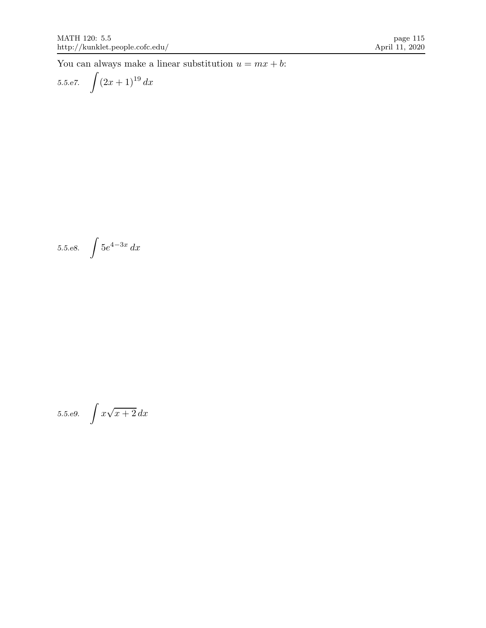You can always make a linear substitution  $u = mx + b$ :

5.5.e7. 
$$
\int (2x+1)^{19} dx
$$

5.5.e8. 
$$
\int 5e^{4-3x} dx
$$

5.5.e9. 
$$
\int x\sqrt{x+2} \, dx
$$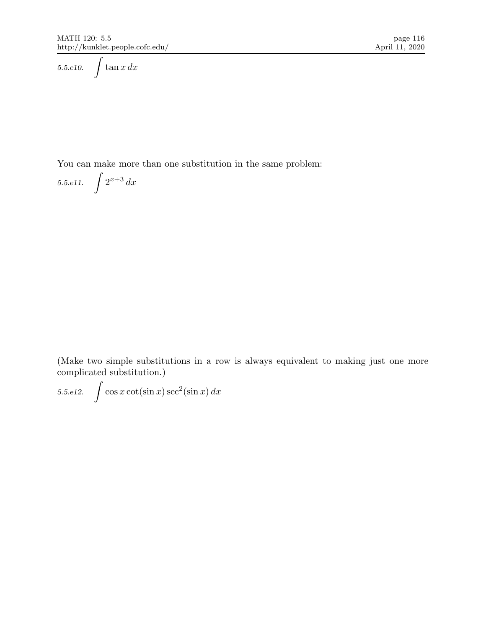5.5.e10.  $\int \tan x \, dx$ 

You can make more than one substitution in the same problem:

5.5.e11.  $\int 2^{x+3} dx$ 

(Make two simple substitutions in a row is always equivalent to making just one more complicated substitution.)

5.5.e12.  $\int \cos x \cot(\sin x) \sec^2(\sin x) dx$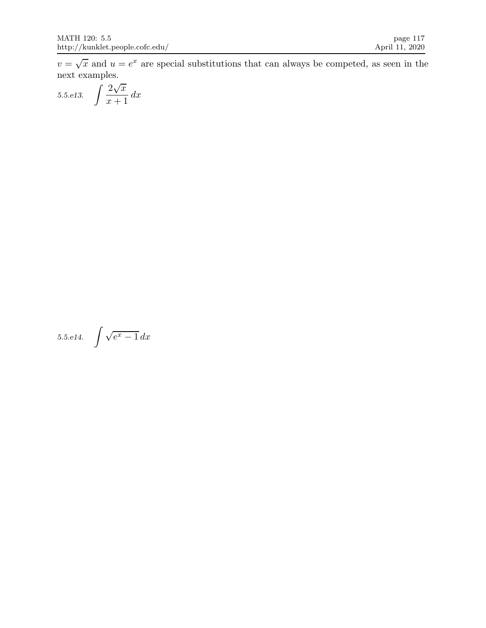$v = \sqrt{x}$  and  $u = e^x$  are special substitutions that can always be competed, as seen in the next examples.

$$
5.5.e13. \quad \int \frac{2\sqrt{x}}{x+1} \, dx
$$

$$
5.5. e14. \quad \int \sqrt{e^x - 1} \, dx
$$